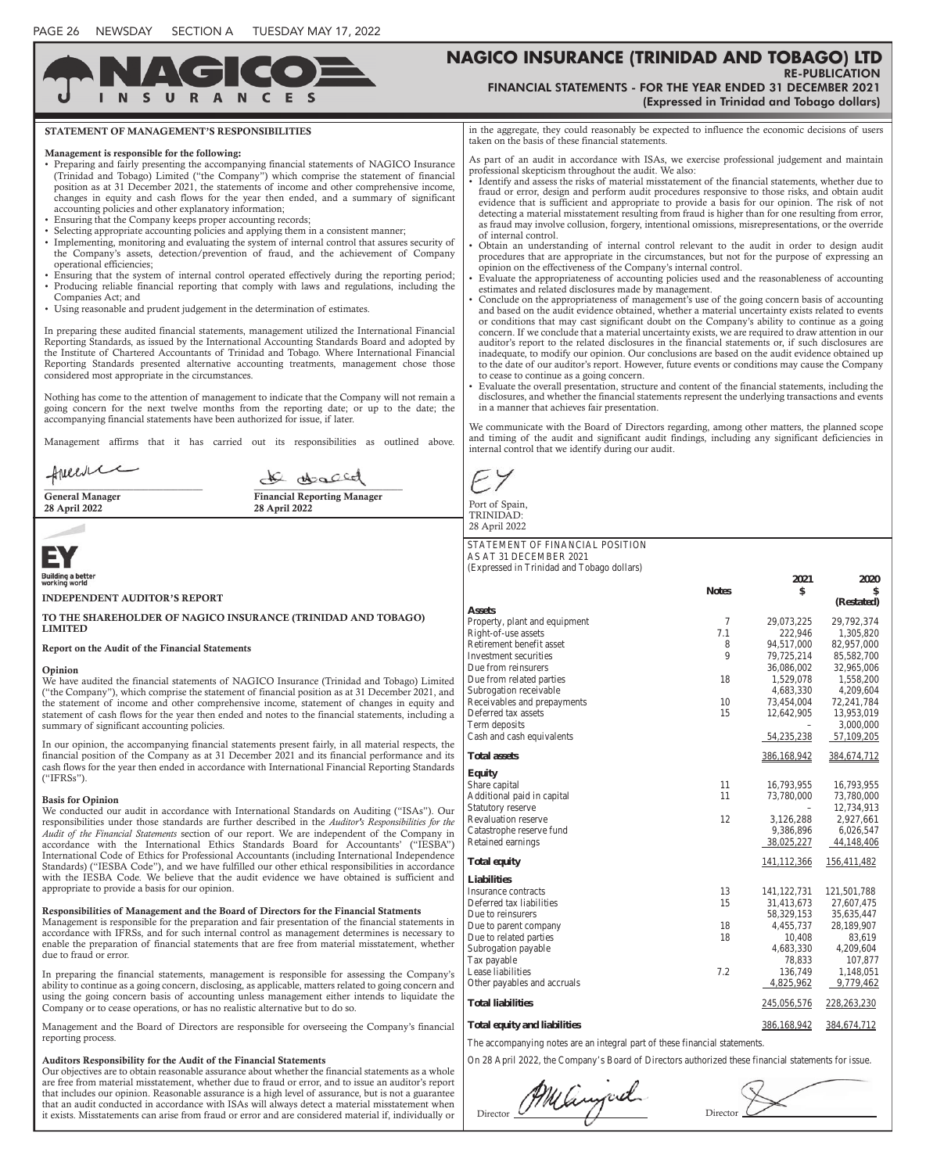C

**DAN** 

 $\mathbf{H}$ 

 $\epsilon$ 

are free from material misstatement, whether due to fraud or error, and to issue an auditor's report that includes our opinion. Reasonable assurance is a high level of assurance, but is not a guarantee

## **NAGICO INSURANCE (TRINIDAD AND TOBAGO) LTD** RE-PUBLICATION FINANCIAL STATEMENTS - FOR THE YEAR ENDED 31 DECEMBER 2021

|                                                                                                                                                                                                                                                                                                                                                                                                                                                                                                                                                                                                                                                                                                                                                                                                                                                                                                                                                                                                                                                                                                                                                                                     | (Expressed in Trinidad and Tobago dollars)                                                                                                                                                                                                                                                                                                                                                                                                                                                                                                                                                                                                                                                                                                                                                                                                                                                                                                                                                                                                                                                                                                                                                                                                                                                                                                                                                                                                    |              |                             |                              |  |
|-------------------------------------------------------------------------------------------------------------------------------------------------------------------------------------------------------------------------------------------------------------------------------------------------------------------------------------------------------------------------------------------------------------------------------------------------------------------------------------------------------------------------------------------------------------------------------------------------------------------------------------------------------------------------------------------------------------------------------------------------------------------------------------------------------------------------------------------------------------------------------------------------------------------------------------------------------------------------------------------------------------------------------------------------------------------------------------------------------------------------------------------------------------------------------------|-----------------------------------------------------------------------------------------------------------------------------------------------------------------------------------------------------------------------------------------------------------------------------------------------------------------------------------------------------------------------------------------------------------------------------------------------------------------------------------------------------------------------------------------------------------------------------------------------------------------------------------------------------------------------------------------------------------------------------------------------------------------------------------------------------------------------------------------------------------------------------------------------------------------------------------------------------------------------------------------------------------------------------------------------------------------------------------------------------------------------------------------------------------------------------------------------------------------------------------------------------------------------------------------------------------------------------------------------------------------------------------------------------------------------------------------------|--------------|-----------------------------|------------------------------|--|
| <b>STATEMENT OF MANAGEMENT'S RESPONSIBILITIES</b>                                                                                                                                                                                                                                                                                                                                                                                                                                                                                                                                                                                                                                                                                                                                                                                                                                                                                                                                                                                                                                                                                                                                   | in the aggregate, they could reasonably be expected to influence the economic decisions of users<br>taken on the basis of these financial statements.                                                                                                                                                                                                                                                                                                                                                                                                                                                                                                                                                                                                                                                                                                                                                                                                                                                                                                                                                                                                                                                                                                                                                                                                                                                                                         |              |                             |                              |  |
| Management is responsible for the following:<br>• Preparing and fairly presenting the accompanying financial statements of NAGICO Insurance<br>(Trinidad and Tobago) Limited ("the Company") which comprise the statement of financial<br>position as at 31 December 2021, the statements of income and other comprehensive income,<br>changes in equity and cash flows for the year then ended, and a summary of significant<br>accounting policies and other explanatory information;<br>• Ensuring that the Company keeps proper accounting records;<br>· Selecting appropriate accounting policies and applying them in a consistent manner;<br>• Implementing, monitoring and evaluating the system of internal control that assures security of<br>the Company's assets, detection/prevention of fraud, and the achievement of Company<br>operational efficiencies;<br>• Ensuring that the system of internal control operated effectively during the reporting period;<br>• Producing reliable financial reporting that comply with laws and regulations, including the<br>Companies Act; and<br>• Using reasonable and prudent judgement in the determination of estimates. | As part of an audit in accordance with ISAs, we exercise professional judgement and maintain<br>professional skepticism throughout the audit. We also:<br>• Identify and assess the risks of material misstatement of the financial statements, whether due to<br>fraud or error, design and perform audit procedures responsive to those risks, and obtain audit<br>evidence that is sufficient and appropriate to provide a basis for our opinion. The risk of not<br>detecting a material misstatement resulting from fraud is higher than for one resulting from error,<br>as fraud may involve collusion, forgery, intentional omissions, misrepresentations, or the override<br>of internal control.<br>Obtain an understanding of internal control relevant to the audit in order to design audit<br>procedures that are appropriate in the circumstances, but not for the purpose of expressing an<br>opinion on the effectiveness of the Company's internal control.<br>Evaluate the appropriateness of accounting policies used and the reasonableness of accounting<br>estimates and related disclosures made by management.<br>Conclude on the appropriateness of management's use of the going concern basis of accounting<br>and based on the audit evidence obtained, whether a material uncertainty exists related to events<br>or conditions that may cast significant doubt on the Company's ability to continue as a going |              |                             |                              |  |
| In preparing these audited financial statements, management utilized the International Financial<br>Reporting Standards, as issued by the International Accounting Standards Board and adopted by<br>the Institute of Chartered Accountants of Trinidad and Tobago. Where International Financial<br>Reporting Standards presented alternative accounting treatments, management chose those<br>considered most appropriate in the circumstances.<br>Nothing has come to the attention of management to indicate that the Company will not remain a<br>going concern for the next twelve months from the reporting date; or up to the date; the                                                                                                                                                                                                                                                                                                                                                                                                                                                                                                                                     | concern. If we conclude that a material uncertainty exists, we are required to draw attention in our<br>auditor's report to the related disclosures in the financial statements or, if such disclosures are<br>inadequate, to modify our opinion. Our conclusions are based on the audit evidence obtained up<br>to the date of our auditor's report. However, future events or conditions may cause the Company<br>to cease to continue as a going concern.<br>Evaluate the overall presentation, structure and content of the financial statements, including the<br>disclosures, and whether the financial statements represent the underlying transactions and events<br>in a manner that achieves fair presentation.<br>We communicate with the Board of Directors regarding, among other matters, the planned scope<br>and timing of the audit and significant audit findings, including any significant deficiencies in<br>internal control that we identify during our audit.                                                                                                                                                                                                                                                                                                                                                                                                                                                         |              |                             |                              |  |
| accompanying financial statements have been authorized for issue, if later.<br>Management affirms that it has carried out its responsibilities as outlined above.                                                                                                                                                                                                                                                                                                                                                                                                                                                                                                                                                                                                                                                                                                                                                                                                                                                                                                                                                                                                                   |                                                                                                                                                                                                                                                                                                                                                                                                                                                                                                                                                                                                                                                                                                                                                                                                                                                                                                                                                                                                                                                                                                                                                                                                                                                                                                                                                                                                                                               |              |                             |                              |  |
| Annews<br>de deserd                                                                                                                                                                                                                                                                                                                                                                                                                                                                                                                                                                                                                                                                                                                                                                                                                                                                                                                                                                                                                                                                                                                                                                 |                                                                                                                                                                                                                                                                                                                                                                                                                                                                                                                                                                                                                                                                                                                                                                                                                                                                                                                                                                                                                                                                                                                                                                                                                                                                                                                                                                                                                                               |              |                             |                              |  |
| <b>General Manager</b><br><b>Financial Reporting Manager</b><br>28 April 2022<br>28 April 2022                                                                                                                                                                                                                                                                                                                                                                                                                                                                                                                                                                                                                                                                                                                                                                                                                                                                                                                                                                                                                                                                                      | Port of Spain,<br>TRINIDAD:                                                                                                                                                                                                                                                                                                                                                                                                                                                                                                                                                                                                                                                                                                                                                                                                                                                                                                                                                                                                                                                                                                                                                                                                                                                                                                                                                                                                                   |              |                             |                              |  |
|                                                                                                                                                                                                                                                                                                                                                                                                                                                                                                                                                                                                                                                                                                                                                                                                                                                                                                                                                                                                                                                                                                                                                                                     | 28 April 2022                                                                                                                                                                                                                                                                                                                                                                                                                                                                                                                                                                                                                                                                                                                                                                                                                                                                                                                                                                                                                                                                                                                                                                                                                                                                                                                                                                                                                                 |              |                             |                              |  |
|                                                                                                                                                                                                                                                                                                                                                                                                                                                                                                                                                                                                                                                                                                                                                                                                                                                                                                                                                                                                                                                                                                                                                                                     | STATEMENT OF FINANCIAL POSITION<br>AS AT 31 DECEMBER 2021                                                                                                                                                                                                                                                                                                                                                                                                                                                                                                                                                                                                                                                                                                                                                                                                                                                                                                                                                                                                                                                                                                                                                                                                                                                                                                                                                                                     |              |                             |                              |  |
| Building a better<br>working world                                                                                                                                                                                                                                                                                                                                                                                                                                                                                                                                                                                                                                                                                                                                                                                                                                                                                                                                                                                                                                                                                                                                                  | (Expressed in Trinidad and Tobago dollars)                                                                                                                                                                                                                                                                                                                                                                                                                                                                                                                                                                                                                                                                                                                                                                                                                                                                                                                                                                                                                                                                                                                                                                                                                                                                                                                                                                                                    |              |                             |                              |  |
|                                                                                                                                                                                                                                                                                                                                                                                                                                                                                                                                                                                                                                                                                                                                                                                                                                                                                                                                                                                                                                                                                                                                                                                     |                                                                                                                                                                                                                                                                                                                                                                                                                                                                                                                                                                                                                                                                                                                                                                                                                                                                                                                                                                                                                                                                                                                                                                                                                                                                                                                                                                                                                                               | <b>Notes</b> | 2021<br>\$                  | 2020                         |  |
| <b>INDEPENDENT AUDITOR'S REPORT</b>                                                                                                                                                                                                                                                                                                                                                                                                                                                                                                                                                                                                                                                                                                                                                                                                                                                                                                                                                                                                                                                                                                                                                 | <b>Assets</b>                                                                                                                                                                                                                                                                                                                                                                                                                                                                                                                                                                                                                                                                                                                                                                                                                                                                                                                                                                                                                                                                                                                                                                                                                                                                                                                                                                                                                                 |              |                             | (Restated)                   |  |
| TO THE SHAREHOLDER OF NAGICO INSURANCE (TRINIDAD AND TOBAGO)<br><b>LIMITED</b>                                                                                                                                                                                                                                                                                                                                                                                                                                                                                                                                                                                                                                                                                                                                                                                                                                                                                                                                                                                                                                                                                                      | Property, plant and equipment<br>Right-of-use assets                                                                                                                                                                                                                                                                                                                                                                                                                                                                                                                                                                                                                                                                                                                                                                                                                                                                                                                                                                                                                                                                                                                                                                                                                                                                                                                                                                                          | 7.1          | 29,073,225<br>222,946       | 29,792,374<br>1,305,820      |  |
| Report on the Audit of the Financial Statements                                                                                                                                                                                                                                                                                                                                                                                                                                                                                                                                                                                                                                                                                                                                                                                                                                                                                                                                                                                                                                                                                                                                     | Retirement benefit asset                                                                                                                                                                                                                                                                                                                                                                                                                                                                                                                                                                                                                                                                                                                                                                                                                                                                                                                                                                                                                                                                                                                                                                                                                                                                                                                                                                                                                      | 8            | 94,517,000                  | 82,957,000                   |  |
| Opinion                                                                                                                                                                                                                                                                                                                                                                                                                                                                                                                                                                                                                                                                                                                                                                                                                                                                                                                                                                                                                                                                                                                                                                             | Investment securities<br>Due from reinsurers                                                                                                                                                                                                                                                                                                                                                                                                                                                                                                                                                                                                                                                                                                                                                                                                                                                                                                                                                                                                                                                                                                                                                                                                                                                                                                                                                                                                  | 9            | 79,725,214<br>36,086,002    | 85,582,700<br>32,965,006     |  |
| We have audited the financial statements of NAGICO Insurance (Trinidad and Tobago) Limited                                                                                                                                                                                                                                                                                                                                                                                                                                                                                                                                                                                                                                                                                                                                                                                                                                                                                                                                                                                                                                                                                          | Due from related parties                                                                                                                                                                                                                                                                                                                                                                                                                                                                                                                                                                                                                                                                                                                                                                                                                                                                                                                                                                                                                                                                                                                                                                                                                                                                                                                                                                                                                      | 18           | 1,529,078                   | 1,558,200                    |  |
| ("the Company"), which comprise the statement of financial position as at 31 December 2021, and<br>the statement of income and other comprehensive income, statement of changes in equity and                                                                                                                                                                                                                                                                                                                                                                                                                                                                                                                                                                                                                                                                                                                                                                                                                                                                                                                                                                                       | Subrogation receivable<br>Receivables and prepayments                                                                                                                                                                                                                                                                                                                                                                                                                                                                                                                                                                                                                                                                                                                                                                                                                                                                                                                                                                                                                                                                                                                                                                                                                                                                                                                                                                                         | 10           | 4,683,330<br>73,454,004     | 4,209,604<br>72,241,784      |  |
| statement of cash flows for the year then ended and notes to the financial statements, including a                                                                                                                                                                                                                                                                                                                                                                                                                                                                                                                                                                                                                                                                                                                                                                                                                                                                                                                                                                                                                                                                                  | Deferred tax assets<br>Term deposits                                                                                                                                                                                                                                                                                                                                                                                                                                                                                                                                                                                                                                                                                                                                                                                                                                                                                                                                                                                                                                                                                                                                                                                                                                                                                                                                                                                                          | 15           | 12,642,905                  | 13,953,019<br>3,000,000      |  |
| summary of significant accounting policies.                                                                                                                                                                                                                                                                                                                                                                                                                                                                                                                                                                                                                                                                                                                                                                                                                                                                                                                                                                                                                                                                                                                                         | Cash and cash equivalents                                                                                                                                                                                                                                                                                                                                                                                                                                                                                                                                                                                                                                                                                                                                                                                                                                                                                                                                                                                                                                                                                                                                                                                                                                                                                                                                                                                                                     |              | 54,235,238                  | 57,109,205                   |  |
| In our opinion, the accompanying financial statements present fairly, in all material respects, the<br>financial position of the Company as at 31 December 2021 and its financial performance and its                                                                                                                                                                                                                                                                                                                                                                                                                                                                                                                                                                                                                                                                                                                                                                                                                                                                                                                                                                               | <b>Total assets</b>                                                                                                                                                                                                                                                                                                                                                                                                                                                                                                                                                                                                                                                                                                                                                                                                                                                                                                                                                                                                                                                                                                                                                                                                                                                                                                                                                                                                                           |              | 386,168,942                 | 384,674,712                  |  |
| cash flows for the year then ended in accordance with International Financial Reporting Standards<br>$("IFRSS")$ .                                                                                                                                                                                                                                                                                                                                                                                                                                                                                                                                                                                                                                                                                                                                                                                                                                                                                                                                                                                                                                                                  | <b>Equity</b>                                                                                                                                                                                                                                                                                                                                                                                                                                                                                                                                                                                                                                                                                                                                                                                                                                                                                                                                                                                                                                                                                                                                                                                                                                                                                                                                                                                                                                 |              |                             |                              |  |
|                                                                                                                                                                                                                                                                                                                                                                                                                                                                                                                                                                                                                                                                                                                                                                                                                                                                                                                                                                                                                                                                                                                                                                                     | Share capital<br>Additional paid in capital                                                                                                                                                                                                                                                                                                                                                                                                                                                                                                                                                                                                                                                                                                                                                                                                                                                                                                                                                                                                                                                                                                                                                                                                                                                                                                                                                                                                   | 11<br>11     | 16,793,955<br>73,780,000    | 16,793,955<br>73,780,000     |  |
| <b>Basis for Opinion</b><br>We conducted our audit in accordance with International Standards on Auditing ("ISAs"). Our                                                                                                                                                                                                                                                                                                                                                                                                                                                                                                                                                                                                                                                                                                                                                                                                                                                                                                                                                                                                                                                             | Statutory reserve                                                                                                                                                                                                                                                                                                                                                                                                                                                                                                                                                                                                                                                                                                                                                                                                                                                                                                                                                                                                                                                                                                                                                                                                                                                                                                                                                                                                                             |              | $\overline{\phantom{m}}$    | 12,734,913                   |  |
| responsibilities under those standards are further described in the Auditor's Responsibilities for the<br>Audit of the Financial Statements section of our report. We are independent of the Company in                                                                                                                                                                                                                                                                                                                                                                                                                                                                                                                                                                                                                                                                                                                                                                                                                                                                                                                                                                             | Revaluation reserve<br>Catastrophe reserve fund                                                                                                                                                                                                                                                                                                                                                                                                                                                                                                                                                                                                                                                                                                                                                                                                                                                                                                                                                                                                                                                                                                                                                                                                                                                                                                                                                                                               | 12           | 3,126,288<br>9,386,896      | 2,927,661<br>6,026,547       |  |
| accordance with the International Ethics Standards Board for Accountants' ("IESBA")                                                                                                                                                                                                                                                                                                                                                                                                                                                                                                                                                                                                                                                                                                                                                                                                                                                                                                                                                                                                                                                                                                 | Retained earnings                                                                                                                                                                                                                                                                                                                                                                                                                                                                                                                                                                                                                                                                                                                                                                                                                                                                                                                                                                                                                                                                                                                                                                                                                                                                                                                                                                                                                             |              | 38,025,227                  | 44,148,406                   |  |
| International Code of Ethics for Professional Accountants (including International Independence<br>Standards) ("IESBA Code"), and we have fulfilled our other ethical responsibilities in accordance                                                                                                                                                                                                                                                                                                                                                                                                                                                                                                                                                                                                                                                                                                                                                                                                                                                                                                                                                                                | <b>Total equity</b>                                                                                                                                                                                                                                                                                                                                                                                                                                                                                                                                                                                                                                                                                                                                                                                                                                                                                                                                                                                                                                                                                                                                                                                                                                                                                                                                                                                                                           |              | 141,112,366                 | 156,411,482                  |  |
| with the IESBA Code. We believe that the audit evidence we have obtained is sufficient and                                                                                                                                                                                                                                                                                                                                                                                                                                                                                                                                                                                                                                                                                                                                                                                                                                                                                                                                                                                                                                                                                          | <b>Liabilities</b>                                                                                                                                                                                                                                                                                                                                                                                                                                                                                                                                                                                                                                                                                                                                                                                                                                                                                                                                                                                                                                                                                                                                                                                                                                                                                                                                                                                                                            |              |                             |                              |  |
| appropriate to provide a basis for our opinion.                                                                                                                                                                                                                                                                                                                                                                                                                                                                                                                                                                                                                                                                                                                                                                                                                                                                                                                                                                                                                                                                                                                                     | Insurance contracts<br>Deferred tax liabilities                                                                                                                                                                                                                                                                                                                                                                                                                                                                                                                                                                                                                                                                                                                                                                                                                                                                                                                                                                                                                                                                                                                                                                                                                                                                                                                                                                                               | 13<br>15     | 141, 122, 731<br>31,413,673 | 121,501,788<br>27,607,475    |  |
| Responsibilities of Management and the Board of Directors for the Financial Statments<br>Management is responsible for the preparation and fair presentation of the financial statements in                                                                                                                                                                                                                                                                                                                                                                                                                                                                                                                                                                                                                                                                                                                                                                                                                                                                                                                                                                                         | Due to reinsurers                                                                                                                                                                                                                                                                                                                                                                                                                                                                                                                                                                                                                                                                                                                                                                                                                                                                                                                                                                                                                                                                                                                                                                                                                                                                                                                                                                                                                             |              | 58,329,153                  | 35,635,447                   |  |
| accordance with IFRSs, and for such internal control as management determines is necessary to                                                                                                                                                                                                                                                                                                                                                                                                                                                                                                                                                                                                                                                                                                                                                                                                                                                                                                                                                                                                                                                                                       | Due to parent company<br>Due to related parties                                                                                                                                                                                                                                                                                                                                                                                                                                                                                                                                                                                                                                                                                                                                                                                                                                                                                                                                                                                                                                                                                                                                                                                                                                                                                                                                                                                               | 18<br>18     | 4,455,737<br>10,408         | 28,189,907<br>83,619         |  |
| enable the preparation of financial statements that are free from material misstatement, whether<br>due to fraud or error.                                                                                                                                                                                                                                                                                                                                                                                                                                                                                                                                                                                                                                                                                                                                                                                                                                                                                                                                                                                                                                                          | Subrogation payable                                                                                                                                                                                                                                                                                                                                                                                                                                                                                                                                                                                                                                                                                                                                                                                                                                                                                                                                                                                                                                                                                                                                                                                                                                                                                                                                                                                                                           |              | 4,683,330                   | 4,209,604                    |  |
| In preparing the financial statements, management is responsible for assessing the Company's                                                                                                                                                                                                                                                                                                                                                                                                                                                                                                                                                                                                                                                                                                                                                                                                                                                                                                                                                                                                                                                                                        | Tax payable<br>Lease liabilities                                                                                                                                                                                                                                                                                                                                                                                                                                                                                                                                                                                                                                                                                                                                                                                                                                                                                                                                                                                                                                                                                                                                                                                                                                                                                                                                                                                                              | 7.2          | 78,833<br>136,749           | 107,877<br>1,148,051         |  |
| ability to continue as a going concern, disclosing, as applicable, matters related to going concern and<br>using the going concern basis of accounting unless management either intends to liquidate the                                                                                                                                                                                                                                                                                                                                                                                                                                                                                                                                                                                                                                                                                                                                                                                                                                                                                                                                                                            | Other payables and accruals                                                                                                                                                                                                                                                                                                                                                                                                                                                                                                                                                                                                                                                                                                                                                                                                                                                                                                                                                                                                                                                                                                                                                                                                                                                                                                                                                                                                                   |              | 4,825,962                   | 9,779,462                    |  |
| Company or to cease operations, or has no realistic alternative but to do so.<br>Management and the Board of Directors are responsible for overseeing the Company's financial                                                                                                                                                                                                                                                                                                                                                                                                                                                                                                                                                                                                                                                                                                                                                                                                                                                                                                                                                                                                       | <b>Total liabilities</b><br><b>Total equity and liabilities</b>                                                                                                                                                                                                                                                                                                                                                                                                                                                                                                                                                                                                                                                                                                                                                                                                                                                                                                                                                                                                                                                                                                                                                                                                                                                                                                                                                                               |              | 245,056,576<br>386,168,942  | 228, 263, 230<br>384,674,712 |  |
| reporting process.                                                                                                                                                                                                                                                                                                                                                                                                                                                                                                                                                                                                                                                                                                                                                                                                                                                                                                                                                                                                                                                                                                                                                                  | The accompanying notes are an integral part of these financial statements.                                                                                                                                                                                                                                                                                                                                                                                                                                                                                                                                                                                                                                                                                                                                                                                                                                                                                                                                                                                                                                                                                                                                                                                                                                                                                                                                                                    |              |                             |                              |  |
| Auditors Responsibility for the Audit of the Financial Statements<br>Our objectives are to obtain reasonable assurance about whether the financial statements as a whole                                                                                                                                                                                                                                                                                                                                                                                                                                                                                                                                                                                                                                                                                                                                                                                                                                                                                                                                                                                                            | On 28 April 2022, the Company's Board of Directors authorized these financial statements for issue.                                                                                                                                                                                                                                                                                                                                                                                                                                                                                                                                                                                                                                                                                                                                                                                                                                                                                                                                                                                                                                                                                                                                                                                                                                                                                                                                           |              |                             |                              |  |

that an audit conducted in accordance with ISAs will always detect a material misstatement when it exists. Misstatements can arise from fraud or error and are considered material if, individually or Director Director Direc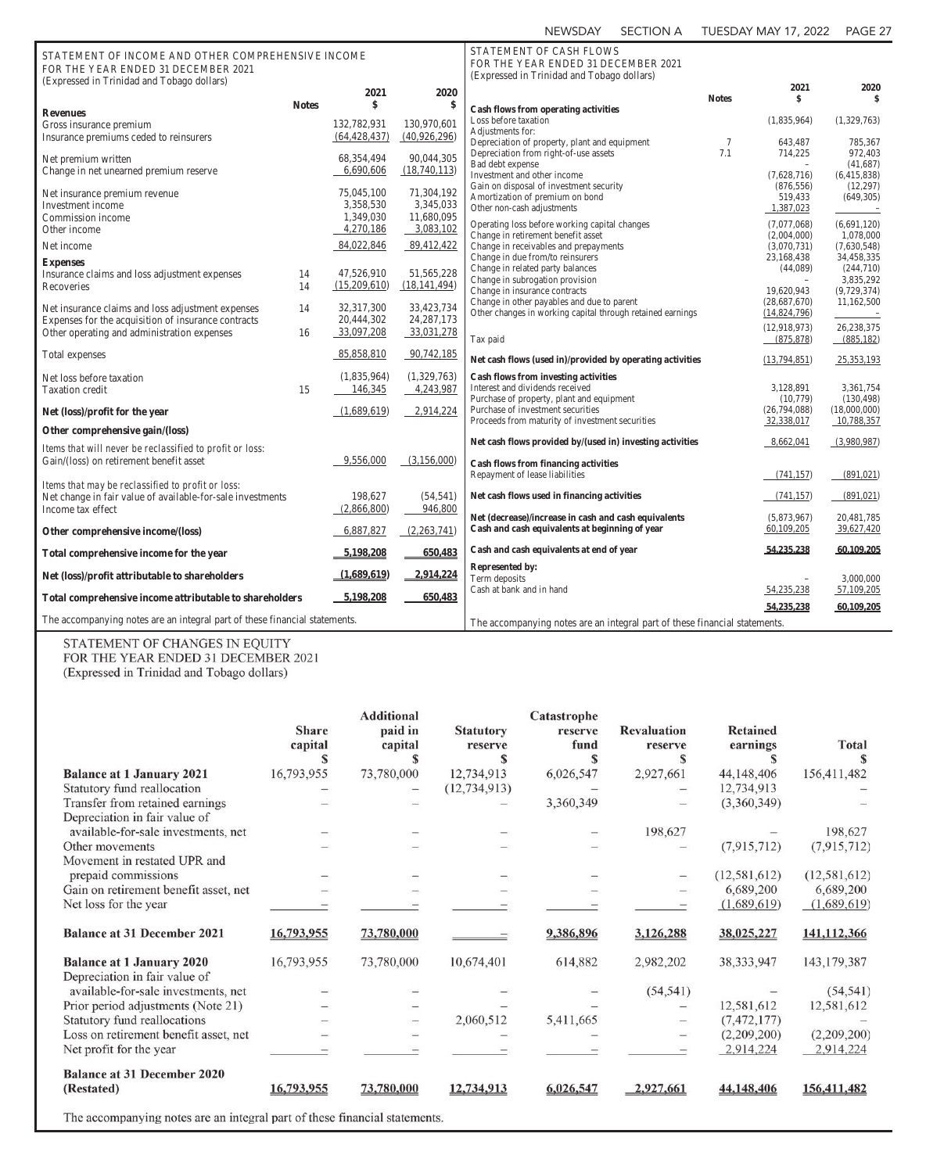| STATEMENT OF INCOME AND OTHER COMPREHENSIVE INCOME<br>FOR THE YEAR ENDED 31 DECEMBER 2021<br>(Expressed in Trinidad and Tobago dollars) |              |                |                | STATEMENT OF CASH FLOWS<br>FOR THE YEAR ENDED 31 DECEMBER 2021<br>(Expressed in Trinidad and Tobago dollars) |              |                           |                          |
|-----------------------------------------------------------------------------------------------------------------------------------------|--------------|----------------|----------------|--------------------------------------------------------------------------------------------------------------|--------------|---------------------------|--------------------------|
|                                                                                                                                         |              | 2021           | 2020           |                                                                                                              | <b>Notes</b> | 2021<br>\$                | 2020<br>\$               |
|                                                                                                                                         | <b>Notes</b> | \$             | \$             | <b>Cash flows from operating activities</b>                                                                  |              |                           |                          |
| <b>Revenues</b>                                                                                                                         |              | 132,782,931    | 130,970,601    | Loss before taxation                                                                                         |              | (1,835,964)               | (1,329,763)              |
| Gross insurance premium<br>Insurance premiums ceded to reinsurers                                                                       |              | (64, 428, 437) | (40,926,296)   | Adjustments for:                                                                                             |              |                           |                          |
|                                                                                                                                         |              |                |                | Depreciation of property, plant and equipment                                                                | 7            | 643,487                   | 785,367                  |
| Net premium written                                                                                                                     |              | 68,354,494     | 90,044,305     | Depreciation from right-of-use assets                                                                        | 7.1          | 714,225                   | 972,403                  |
| Change in net unearned premium reserve                                                                                                  |              | 6,690,606      | (18,740,113)   | Bad debt expense                                                                                             |              |                           | (41, 687)                |
|                                                                                                                                         |              |                |                | Investment and other income<br>Gain on disposal of investment security                                       |              | (7,628,716)<br>(876, 556) | (6,415,838)<br>(12, 297) |
| Net insurance premium revenue                                                                                                           |              | 75,045,100     | 71,304,192     | Amortization of premium on bond                                                                              |              | 519,433                   | (649, 305)               |
| Investment income                                                                                                                       |              | 3,358,530      | 3,345,033      | Other non-cash adjustments                                                                                   |              | 1,387,023                 |                          |
| Commission income                                                                                                                       |              | 1,349,030      | 11,680,095     |                                                                                                              |              | (7,077,068)               | (6,691,120)              |
| Other income                                                                                                                            |              | 4,270,186      | 3,083,102      | Operating loss before working capital changes<br>Change in retirement benefit asset                          |              | (2,004,000)               | 1,078,000                |
| Net income                                                                                                                              |              | 84,022,846     | 89,412,422     | Change in receivables and prepayments                                                                        |              | (3,070,731)               | (7,630,548)              |
|                                                                                                                                         |              |                |                | Change in due from/to reinsurers                                                                             |              | 23,168,438                | 34,458,335               |
| <b>Expenses</b><br>Insurance claims and loss adjustment expenses                                                                        | 14           | 47,526,910     | 51,565,228     | Change in related party balances                                                                             |              | (44,089)                  | (244,710)                |
| Recoveries                                                                                                                              | 14           | (15,209,610)   | (18, 141, 494) | Change in subrogation provision                                                                              |              | $\qquad \qquad -$         | 3,835,292                |
|                                                                                                                                         |              |                |                | Change in insurance contracts                                                                                |              | 19,620,943                | (9,729,374)              |
| Net insurance claims and loss adjustment expenses                                                                                       | 14           | 32,317,300     | 33,423,734     | Change in other payables and due to parent                                                                   |              | (28,687,670)              | 11,162,500               |
| Expenses for the acquisition of insurance contracts                                                                                     |              | 20,444,302     | 24, 287, 173   | Other changes in working capital through retained earnings                                                   |              | (14,824,796)              |                          |
| Other operating and administration expenses                                                                                             | 16           | 33,097,208     | 33,031,278     |                                                                                                              |              | (12,918,973)              | 26,238,375               |
|                                                                                                                                         |              |                |                | Tax paid                                                                                                     |              | (875, 878)                | (885, 182)               |
| Total expenses                                                                                                                          |              | 85,858,810     | 90,742,185     | Net cash flows (used in)/provided by operating activities                                                    |              | (13,794,851)              | 25,353,193               |
| Net loss before taxation                                                                                                                |              | (1,835,964)    | (1,329,763)    | <b>Cash flows from investing activities</b>                                                                  |              |                           |                          |
| <b>Taxation</b> credit                                                                                                                  | 15           | 146,345        | 4,243,987      | Interest and dividends received                                                                              |              | 3,128,891                 | 3,361,754                |
|                                                                                                                                         |              |                |                | Purchase of property, plant and equipment                                                                    |              | (10,779)                  | (130, 498)               |
| Net (loss)/profit for the year                                                                                                          |              | (1,689,619)    | 2,914,224      | Purchase of investment securities                                                                            |              | (26,794,088)              | (18,000,000)             |
| Other comprehensive gain/(loss)                                                                                                         |              |                |                | Proceeds from maturity of investment securities                                                              |              | 32,338,017                | 10,788,357               |
| Items that will never be reclassified to profit or loss:                                                                                |              |                |                | Net cash flows provided by/(used in) investing activities                                                    |              | 8,662,041                 | (3,980,987)              |
| Gain/(loss) on retirement benefit asset                                                                                                 |              | 9,556,000      | (3,156,000)    |                                                                                                              |              |                           |                          |
|                                                                                                                                         |              |                |                | <b>Cash flows from financing activities</b><br>Repayment of lease liabilities                                |              | (741, 157)                | (891, 021)               |
| Items that may be reclassified to profit or loss:                                                                                       |              |                |                |                                                                                                              |              |                           |                          |
| Net change in fair value of available-for-sale investments                                                                              |              | 198,627        | (54, 541)      | Net cash flows used in financing activities                                                                  |              | (741, 157)                | (891, 021)               |
| Income tax effect                                                                                                                       |              | (2,866,800)    | 946,800        |                                                                                                              |              |                           |                          |
|                                                                                                                                         |              |                |                | Net (decrease)/increase in cash and cash equivalents                                                         |              | (5,873,967)               | 20,481,785               |
| Other comprehensive income/(loss)                                                                                                       |              | 6,887,827      | (2,263,741)    | Cash and cash equivalents at beginning of year                                                               |              | 60,109,205                | 39,627,420               |
| Total comprehensive income for the year                                                                                                 |              | 5,198,208      | 650.483        | Cash and cash equivalents at end of year                                                                     |              | 54,235,238                | 60.109.205               |
| Net (loss)/profit attributable to shareholders                                                                                          |              | (1,689,619)    | 2,914,224      | <b>Represented by:</b>                                                                                       |              |                           |                          |
|                                                                                                                                         |              |                |                | Term deposits                                                                                                |              |                           | 3,000,000                |
| Total comprehensive income attributable to shareholders                                                                                 |              | 5,198,208      | 650,483        | Cash at bank and in hand                                                                                     |              | 54,235,238                | 57,109,205               |
|                                                                                                                                         |              |                |                |                                                                                                              |              | 54.235.238                | 60.109.205               |
| The accompanying notes are an integral part of these financial statements.                                                              |              |                |                | The accompanying notes are an integral part of these financial statements.                                   |              |                           |                          |

STATEMENT OF CHANGES IN EQUITY FOR THE YEAR ENDED 31 DECEMBER 2021

(Expressed in Trinidad and Tobago dollars)

|                                                                                                      | <b>Share</b><br>capital | <b>Additional</b><br>paid in<br>capital                                                                                                                | <b>Statutory</b><br>reserve | Catastrophe<br>reserve<br>fund | <b>Revaluation</b><br>reserve | <b>Retained</b><br>earnings | Total          |
|------------------------------------------------------------------------------------------------------|-------------------------|--------------------------------------------------------------------------------------------------------------------------------------------------------|-----------------------------|--------------------------------|-------------------------------|-----------------------------|----------------|
|                                                                                                      | S                       |                                                                                                                                                        |                             | S                              | S                             |                             |                |
| <b>Balance at 1 January 2021</b>                                                                     | 16,793,955              | 73,780,000                                                                                                                                             | 12,734,913                  | 6,026,547                      | 2,927,661                     | 44,148,406                  | 156,411,482    |
| Statutory fund reallocation                                                                          |                         |                                                                                                                                                        | (12, 734, 913)              |                                |                               | 12,734,913                  |                |
| Transfer from retained earnings                                                                      |                         |                                                                                                                                                        |                             | 3,360,349                      |                               | (3,360,349)                 |                |
| Depreciation in fair value of                                                                        |                         |                                                                                                                                                        |                             |                                |                               |                             |                |
| available-for-sale investments, net                                                                  |                         |                                                                                                                                                        |                             |                                | 198,627                       |                             | 198,627        |
| Other movements                                                                                      |                         |                                                                                                                                                        |                             |                                |                               | (7,915,712)                 | (7,915,712)    |
| Movement in restated UPR and                                                                         |                         |                                                                                                                                                        |                             |                                |                               |                             |                |
| prepaid commissions                                                                                  |                         |                                                                                                                                                        |                             |                                |                               | (12, 581, 612)              | (12, 581, 612) |
| Gain on retirement benefit asset, net                                                                |                         |                                                                                                                                                        |                             |                                |                               | 6,689,200                   | 6,689,200      |
| Net loss for the year                                                                                |                         |                                                                                                                                                        |                             |                                |                               | (1,689,619)                 | (1,689,619)    |
| <b>Balance at 31 December 2021</b>                                                                   | 16,793,955              | 73,780,000                                                                                                                                             |                             | 9,386,896                      | 3,126,288                     | 38,025,227                  | 141,112,366    |
| <b>Balance at 1 January 2020</b>                                                                     | 16,793,955              | 73,780,000                                                                                                                                             | 10,674,401                  | 614,882                        | 2,982,202                     | 38, 333, 947                | 143, 179, 387  |
| Depreciation in fair value of                                                                        |                         |                                                                                                                                                        |                             |                                |                               |                             |                |
| available-for-sale investments, net                                                                  |                         |                                                                                                                                                        |                             |                                | (54, 541)                     |                             | (54, 541)      |
| Prior period adjustments (Note 21)                                                                   |                         |                                                                                                                                                        |                             |                                |                               | 12,581,612                  | 12,581,612     |
| Statutory fund reallocations                                                                         |                         |                                                                                                                                                        | 2,060,512                   | 5,411,665                      |                               | (7, 472, 177)               |                |
| Loss on retirement benefit asset, net                                                                |                         |                                                                                                                                                        |                             |                                |                               | (2,209,200)                 | (2,209,200)    |
| Net profit for the year                                                                              |                         |                                                                                                                                                        |                             |                                |                               | 2,914,224                   | 2,914,224      |
| <b>Balance at 31 December 2020</b><br>(Restated)                                                     | 16,793,955              | 73,780,000                                                                                                                                             | 12,734,913                  | 6,026,547                      | 2,927,661                     | 44,148,406                  | 156,411,482    |
| a that the new constants may be a started to a series of the constant of the started to a started to |                         | $\mathcal{L}_{\text{max}}$ and $\mathcal{L}_{\text{max}}$ and $\mathcal{L}_{\text{max}}$ and $\mathcal{L}_{\text{max}}$ and $\mathcal{L}_{\text{max}}$ |                             |                                |                               |                             |                |

The accompanying notes are an integral part of these financial statements.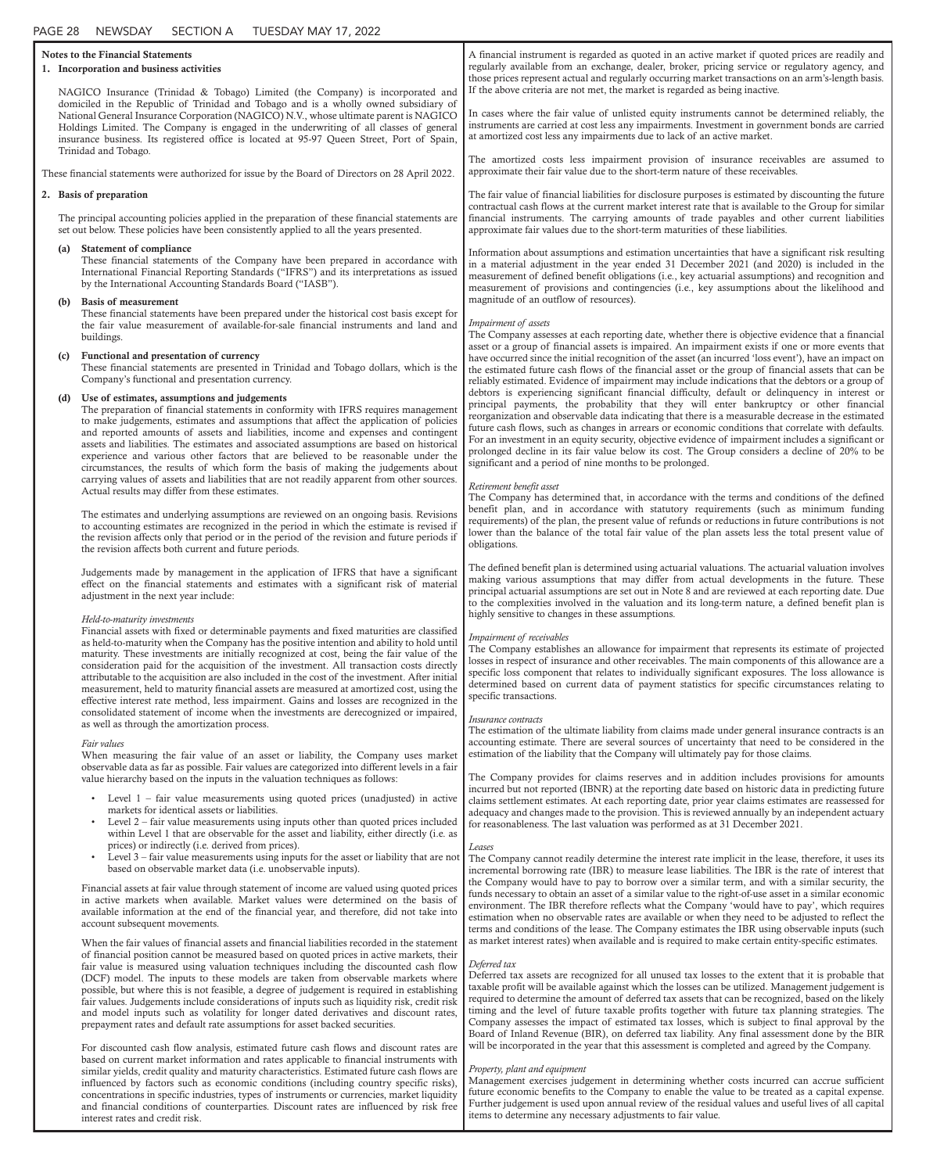| <b>Notes to the Financial Statements</b><br>1. Incorporation and business activities |     |                                                                                                                                                                                                                                                                                                                                                                                                                                                                                                                                                                                                                                                                                                                                                                                                | A financial instrument is regarded as quoted in an active market if quoted prices are readily and<br>regularly available from an exchange, dealer, broker, pricing service or regulatory agency, and<br>those prices represent actual and regularly occurring market transactions on an arm's-length basis.                                                                                                                                                                                                                                                                                                                                                                                                       |
|--------------------------------------------------------------------------------------|-----|------------------------------------------------------------------------------------------------------------------------------------------------------------------------------------------------------------------------------------------------------------------------------------------------------------------------------------------------------------------------------------------------------------------------------------------------------------------------------------------------------------------------------------------------------------------------------------------------------------------------------------------------------------------------------------------------------------------------------------------------------------------------------------------------|-------------------------------------------------------------------------------------------------------------------------------------------------------------------------------------------------------------------------------------------------------------------------------------------------------------------------------------------------------------------------------------------------------------------------------------------------------------------------------------------------------------------------------------------------------------------------------------------------------------------------------------------------------------------------------------------------------------------|
|                                                                                      |     | NAGICO Insurance (Trinidad & Tobago) Limited (the Company) is incorporated and<br>domiciled in the Republic of Trinidad and Tobago and is a wholly owned subsidiary of<br>National General Insurance Corporation (NAGICO) N.V., whose ultimate parent is NAGICO<br>Holdings Limited. The Company is engaged in the underwriting of all classes of general<br>insurance business. Its registered office is located at 95-97 Queen Street, Port of Spain,                                                                                                                                                                                                                                                                                                                                        | If the above criteria are not met, the market is regarded as being inactive.<br>In cases where the fair value of unlisted equity instruments cannot be determined reliably, the<br>instruments are carried at cost less any impairments. Investment in government bonds are carried<br>at amortized cost less any impairments due to lack of an active market.                                                                                                                                                                                                                                                                                                                                                    |
|                                                                                      |     | Trinidad and Tobago.<br>These financial statements were authorized for issue by the Board of Directors on 28 April 2022.                                                                                                                                                                                                                                                                                                                                                                                                                                                                                                                                                                                                                                                                       | The amortized costs less impairment provision of insurance receivables are assumed to<br>approximate their fair value due to the short-term nature of these receivables.                                                                                                                                                                                                                                                                                                                                                                                                                                                                                                                                          |
|                                                                                      |     | 2. Basis of preparation                                                                                                                                                                                                                                                                                                                                                                                                                                                                                                                                                                                                                                                                                                                                                                        | The fair value of financial liabilities for disclosure purposes is estimated by discounting the future                                                                                                                                                                                                                                                                                                                                                                                                                                                                                                                                                                                                            |
|                                                                                      |     | The principal accounting policies applied in the preparation of these financial statements are<br>set out below. These policies have been consistently applied to all the years presented.                                                                                                                                                                                                                                                                                                                                                                                                                                                                                                                                                                                                     | contractual cash flows at the current market interest rate that is available to the Group for similar<br>financial instruments. The carrying amounts of trade payables and other current liabilities<br>approximate fair values due to the short-term maturities of these liabilities.                                                                                                                                                                                                                                                                                                                                                                                                                            |
|                                                                                      | (a) | Statement of compliance<br>These financial statements of the Company have been prepared in accordance with<br>International Financial Reporting Standards ("IFRS") and its interpretations as issued<br>by the International Accounting Standards Board ("IASB").                                                                                                                                                                                                                                                                                                                                                                                                                                                                                                                              | Information about assumptions and estimation uncertainties that have a significant risk resulting<br>in a material adjustment in the year ended 31 December 2021 (and 2020) is included in the<br>measurement of defined benefit obligations (i.e., key actuarial assumptions) and recognition and<br>measurement of provisions and contingencies (i.e., key assumptions about the likelihood and                                                                                                                                                                                                                                                                                                                 |
|                                                                                      | (b) | <b>Basis of measurement</b><br>These financial statements have been prepared under the historical cost basis except for<br>the fair value measurement of available-for-sale financial instruments and land and<br>buildings.                                                                                                                                                                                                                                                                                                                                                                                                                                                                                                                                                                   | magnitude of an outflow of resources).<br>Impairment of assets<br>The Company assesses at each reporting date, whether there is objective evidence that a financial                                                                                                                                                                                                                                                                                                                                                                                                                                                                                                                                               |
|                                                                                      | (c) | Functional and presentation of currency<br>These financial statements are presented in Trinidad and Tobago dollars, which is the<br>Company's functional and presentation currency.                                                                                                                                                                                                                                                                                                                                                                                                                                                                                                                                                                                                            | asset or a group of financial assets is impaired. An impairment exists if one or more events that<br>have occurred since the initial recognition of the asset (an incurred 'loss event'), have an impact on<br>the estimated future cash flows of the financial asset or the group of financial assets that can be<br>reliably estimated. Evidence of impairment may include indications that the debtors or a group of                                                                                                                                                                                                                                                                                           |
|                                                                                      | (d) | Use of estimates, assumptions and judgements<br>The preparation of financial statements in conformity with IFRS requires management<br>to make judgements, estimates and assumptions that affect the application of policies<br>and reported amounts of assets and liabilities, income and expenses and contingent<br>assets and liabilities. The estimates and associated assumptions are based on historical<br>experience and various other factors that are believed to be reasonable under the<br>circumstances, the results of which form the basis of making the judgements about<br>carrying values of assets and liabilities that are not readily apparent from other sources.                                                                                                        | debtors is experiencing significant financial difficulty, default or delinquency in interest or<br>principal payments, the probability that they will enter bankruptcy or other financial<br>reorganization and observable data indicating that there is a measurable decrease in the estimated<br>future cash flows, such as changes in arrears or economic conditions that correlate with defaults.<br>For an investment in an equity security, objective evidence of impairment includes a significant or<br>prolonged decline in its fair value below its cost. The Group considers a decline of 20% to be<br>significant and a period of nine months to be prolonged.                                        |
|                                                                                      |     | Actual results may differ from these estimates.<br>The estimates and underlying assumptions are reviewed on an ongoing basis. Revisions<br>to accounting estimates are recognized in the period in which the estimate is revised if<br>the revision affects only that period or in the period of the revision and future periods if<br>the revision affects both current and future periods.                                                                                                                                                                                                                                                                                                                                                                                                   | Retirement benefit asset<br>The Company has determined that, in accordance with the terms and conditions of the defined<br>benefit plan, and in accordance with statutory requirements (such as minimum funding<br>requirements) of the plan, the present value of refunds or reductions in future contributions is not<br>lower than the balance of the total fair value of the plan assets less the total present value of<br>obligations.                                                                                                                                                                                                                                                                      |
|                                                                                      |     | Judgements made by management in the application of IFRS that have a significant<br>effect on the financial statements and estimates with a significant risk of material<br>adjustment in the next year include:                                                                                                                                                                                                                                                                                                                                                                                                                                                                                                                                                                               | The defined benefit plan is determined using actuarial valuations. The actuarial valuation involves<br>making various assumptions that may differ from actual developments in the future. These<br>principal actuarial assumptions are set out in Note 8 and are reviewed at each reporting date. Due<br>to the complexities involved in the valuation and its long-term nature, a defined benefit plan is<br>highly sensitive to changes in these assumptions.                                                                                                                                                                                                                                                   |
|                                                                                      |     | Held-to-maturity investments<br>Financial assets with fixed or determinable payments and fixed maturities are classified<br>as held-to-maturity when the Company has the positive intention and ability to hold until<br>maturity. These investments are initially recognized at cost, being the fair value of the<br>consideration paid for the acquisition of the investment. All transaction costs directly<br>attributable to the acquisition are also included in the cost of the investment. After initial<br>measurement, held to maturity financial assets are measured at amortized cost, using the<br>effective interest rate method, less impairment. Gains and losses are recognized in the<br>consolidated statement of income when the investments are derecognized or impaired, | Impairment of receivables<br>The Company establishes an allowance for impairment that represents its estimate of projected<br>losses in respect of insurance and other receivables. The main components of this allowance are a<br>specific loss component that relates to individually significant exposures. The loss allowance is<br>determined based on current data of payment statistics for specific circumstances relating to<br>specific transactions.<br><i>Insurance contracts</i>                                                                                                                                                                                                                     |
|                                                                                      |     | as well as through the amortization process.<br>Fair values<br>When measuring the fair value of an asset or liability, the Company uses market<br>observable data as far as possible. Fair values are categorized into different levels in a fair                                                                                                                                                                                                                                                                                                                                                                                                                                                                                                                                              | The estimation of the ultimate liability from claims made under general insurance contracts is an<br>accounting estimate. There are several sources of uncertainty that need to be considered in the<br>estimation of the liability that the Company will ultimately pay for those claims.                                                                                                                                                                                                                                                                                                                                                                                                                        |
|                                                                                      |     | value hierarchy based on the inputs in the valuation techniques as follows:<br>Level $1$ – fair value measurements using quoted prices (unadjusted) in active<br>markets for identical assets or liabilities.<br>Level $2$ – fair value measurements using inputs other than quoted prices included<br>$\bullet$<br>within Level 1 that are observable for the asset and liability, either directly (i.e. as<br>prices) or indirectly (i.e. derived from prices).<br>Level 3 – fair value measurements using inputs for the asset or liability that are not<br>based on observable market data (i.e. unobservable inputs).                                                                                                                                                                     | The Company provides for claims reserves and in addition includes provisions for amounts<br>incurred but not reported (IBNR) at the reporting date based on historic data in predicting future<br>claims settlement estimates. At each reporting date, prior year claims estimates are reassessed for<br>adequacy and changes made to the provision. This is reviewed annually by an independent actuary<br>for reasonableness. The last valuation was performed as at 31 December 2021.<br>Leases<br>The Company cannot readily determine the interest rate implicit in the lease, therefore, it uses its<br>incremental borrowing rate (IBR) to measure lease liabilities. The IBR is the rate of interest that |
|                                                                                      |     | Financial assets at fair value through statement of income are valued using quoted prices<br>in active markets when available. Market values were determined on the basis of<br>available information at the end of the financial year, and therefore, did not take into<br>account subsequent movements.<br>When the fair values of financial assets and financial liabilities recorded in the statement                                                                                                                                                                                                                                                                                                                                                                                      | the Company would have to pay to borrow over a similar term, and with a similar security, the<br>funds necessary to obtain an asset of a similar value to the right-of-use asset in a similar economic<br>environment. The IBR therefore reflects what the Company 'would have to pay', which requires<br>estimation when no observable rates are available or when they need to be adjusted to reflect the<br>terms and conditions of the lease. The Company estimates the IBR using observable inputs (such<br>as market interest rates) when available and is required to make certain entity-specific estimates.                                                                                              |
|                                                                                      |     | of financial position cannot be measured based on quoted prices in active markets, their<br>fair value is measured using valuation techniques including the discounted cash flow<br>(DCF) model. The inputs to these models are taken from observable markets where<br>possible, but where this is not feasible, a degree of judgement is required in establishing<br>fair values. Judgements include considerations of inputs such as liquidity risk, credit risk<br>and model inputs such as volatility for longer dated derivatives and discount rates,<br>prepayment rates and default rate assumptions for asset backed securities.                                                                                                                                                       | Deferred tax<br>Deferred tax assets are recognized for all unused tax losses to the extent that it is probable that<br>taxable profit will be available against which the losses can be utilized. Management judgement is<br>required to determine the amount of deferred tax assets that can be recognized, based on the likely<br>timing and the level of future taxable profits together with future tax planning strategies. The<br>Company assesses the impact of estimated tax losses, which is subject to final approval by the<br>Board of Inland Revenue (BIR), on deferred tax liability. Any final assessment done by the BIR                                                                          |
|                                                                                      |     | For discounted cash flow analysis, estimated future cash flows and discount rates are<br>based on current market information and rates applicable to financial instruments with<br>similar yields, credit quality and maturity characteristics. Estimated future cash flows are                                                                                                                                                                                                                                                                                                                                                                                                                                                                                                                | will be incorporated in the year that this assessment is completed and agreed by the Company.<br>Property, plant and equipment<br>Management exercises judgement in determining whether costs incurred can accrue sufficient                                                                                                                                                                                                                                                                                                                                                                                                                                                                                      |

influenced by factors such as economic conditions (including country specific risks), concentrations in specific industries, types of instruments or currencies, market liquidity and financial conditions of counterparties. Discount rates are influenced by risk free interest rates and credit risk.

### Management exercises judgement in determining whether costs incurred can accrue sufficient future economic benefits to the Company to enable the value to be treated as a capital expense. Further judgement is used upon annual review of the residual values and useful lives of all capital items to determine any necessary adjustments to fair value.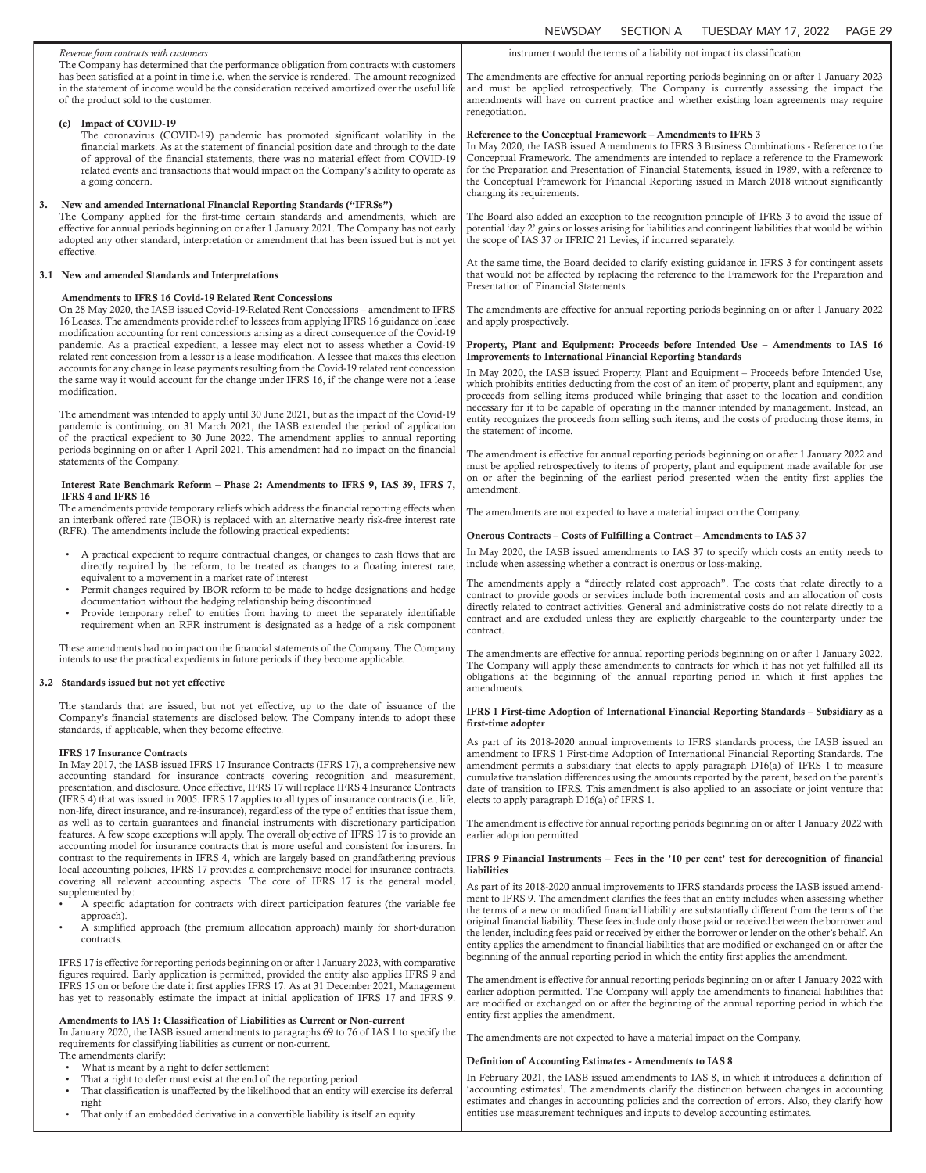|    |                                                                                                                                                                                                                                                                                                                                                                                                                                                                                                                                 | <b>NEWSDAY</b><br><b>SECTION A</b><br><b>TUESDAY MAY 17, 2022</b><br>PAGE 29                                                                                                                                                                                                                                                                                                                                                                                                                                                                                                                                                        |
|----|---------------------------------------------------------------------------------------------------------------------------------------------------------------------------------------------------------------------------------------------------------------------------------------------------------------------------------------------------------------------------------------------------------------------------------------------------------------------------------------------------------------------------------|-------------------------------------------------------------------------------------------------------------------------------------------------------------------------------------------------------------------------------------------------------------------------------------------------------------------------------------------------------------------------------------------------------------------------------------------------------------------------------------------------------------------------------------------------------------------------------------------------------------------------------------|
|    | Revenue from contracts with customers                                                                                                                                                                                                                                                                                                                                                                                                                                                                                           | instrument would the terms of a liability not impact its classification                                                                                                                                                                                                                                                                                                                                                                                                                                                                                                                                                             |
|    | The Company has determined that the performance obligation from contracts with customers<br>has been satisfied at a point in time i.e. when the service is rendered. The amount recognized<br>in the statement of income would be the consideration received amortized over the useful life<br>of the product sold to the customer.                                                                                                                                                                                             | The amendments are effective for annual reporting periods beginning on or after 1 January 2023<br>and must be applied retrospectively. The Company is currently assessing the impact the<br>amendments will have on current practice and whether existing loan agreements may require<br>renegotiation.                                                                                                                                                                                                                                                                                                                             |
|    | <b>Impact of COVID-19</b><br>(e)<br>The coronavirus (COVID-19) pandemic has promoted significant volatility in the<br>financial markets. As at the statement of financial position date and through to the date<br>of approval of the financial statements, there was no material effect from COVID-19<br>related events and transactions that would impact on the Company's ability to operate as<br>a going concern.                                                                                                          | Reference to the Conceptual Framework - Amendments to IFRS 3<br>In May 2020, the IASB issued Amendments to IFRS 3 Business Combinations - Reference to the<br>Conceptual Framework. The amendments are intended to replace a reference to the Framework<br>for the Preparation and Presentation of Financial Statements, issued in 1989, with a reference to<br>the Conceptual Framework for Financial Reporting issued in March 2018 without significantly<br>changing its requirements.                                                                                                                                           |
| 3. | New and amended International Financial Reporting Standards ("IFRSs")<br>The Company applied for the first-time certain standards and amendments, which are<br>effective for annual periods beginning on or after 1 January 2021. The Company has not early<br>adopted any other standard, interpretation or amendment that has been issued but is not yet<br>effective.                                                                                                                                                        | The Board also added an exception to the recognition principle of IFRS 3 to avoid the issue of<br>potential 'day 2' gains or losses arising for liabilities and contingent liabilities that would be within<br>the scope of IAS 37 or IFRIC 21 Levies, if incurred separately.                                                                                                                                                                                                                                                                                                                                                      |
|    | 3.1 New and amended Standards and Interpretations                                                                                                                                                                                                                                                                                                                                                                                                                                                                               | At the same time, the Board decided to clarify existing guidance in IFRS 3 for contingent assets<br>that would not be affected by replacing the reference to the Framework for the Preparation and<br>Presentation of Financial Statements.                                                                                                                                                                                                                                                                                                                                                                                         |
|    | Amendments to IFRS 16 Covid-19 Related Rent Concessions<br>On 28 May 2020, the IASB issued Covid-19-Related Rent Concessions - amendment to IFRS                                                                                                                                                                                                                                                                                                                                                                                | The amendments are effective for annual reporting periods beginning on or after 1 January 2022                                                                                                                                                                                                                                                                                                                                                                                                                                                                                                                                      |
|    | 16 Leases. The amendments provide relief to lessees from applying IFRS 16 guidance on lease<br>modification accounting for rent concessions arising as a direct consequence of the Covid-19<br>pandemic. As a practical expedient, a lessee may elect not to assess whether a Covid-19                                                                                                                                                                                                                                          | and apply prospectively.<br>Property, Plant and Equipment: Proceeds before Intended Use - Amendments to IAS 16                                                                                                                                                                                                                                                                                                                                                                                                                                                                                                                      |
|    | related rent concession from a lessor is a lease modification. A lessee that makes this election                                                                                                                                                                                                                                                                                                                                                                                                                                | <b>Improvements to International Financial Reporting Standards</b>                                                                                                                                                                                                                                                                                                                                                                                                                                                                                                                                                                  |
|    | accounts for any change in lease payments resulting from the Covid-19 related rent concession<br>the same way it would account for the change under IFRS 16, if the change were not a lease<br>modification.                                                                                                                                                                                                                                                                                                                    | In May 2020, the IASB issued Property, Plant and Equipment - Proceeds before Intended Use,<br>which prohibits entities deducting from the cost of an item of property, plant and equipment, any<br>proceeds from selling items produced while bringing that asset to the location and condition<br>necessary for it to be capable of operating in the manner intended by management. Instead, an                                                                                                                                                                                                                                    |
|    | The amendment was intended to apply until 30 June 2021, but as the impact of the Covid-19<br>pandemic is continuing, on 31 March 2021, the IASB extended the period of application<br>of the practical expedient to 30 June 2022. The amendment applies to annual reporting                                                                                                                                                                                                                                                     | entity recognizes the proceeds from selling such items, and the costs of producing those items, in<br>the statement of income.                                                                                                                                                                                                                                                                                                                                                                                                                                                                                                      |
|    | periods beginning on or after 1 April 2021. This amendment had no impact on the financial<br>statements of the Company.<br>Interest Rate Benchmark Reform - Phase 2: Amendments to IFRS 9, IAS 39, IFRS 7,                                                                                                                                                                                                                                                                                                                      | The amendment is effective for annual reporting periods beginning on or after 1 January 2022 and<br>must be applied retrospectively to items of property, plant and equipment made available for use<br>on or after the beginning of the earliest period presented when the entity first applies the                                                                                                                                                                                                                                                                                                                                |
|    | IFRS 4 and IFRS 16<br>The amendments provide temporary reliefs which address the financial reporting effects when                                                                                                                                                                                                                                                                                                                                                                                                               | amendment.<br>The amendments are not expected to have a material impact on the Company.                                                                                                                                                                                                                                                                                                                                                                                                                                                                                                                                             |
|    | an interbank offered rate (IBOR) is replaced with an alternative nearly risk-free interest rate<br>(RFR). The amendments include the following practical expedients:                                                                                                                                                                                                                                                                                                                                                            | Onerous Contracts - Costs of Fulfilling a Contract - Amendments to IAS 37                                                                                                                                                                                                                                                                                                                                                                                                                                                                                                                                                           |
|    | A practical expedient to require contractual changes, or changes to cash flows that are                                                                                                                                                                                                                                                                                                                                                                                                                                         | In May 2020, the IASB issued amendments to IAS 37 to specify which costs an entity needs to<br>include when assessing whether a contract is onerous or loss-making.                                                                                                                                                                                                                                                                                                                                                                                                                                                                 |
|    | directly required by the reform, to be treated as changes to a floating interest rate,<br>equivalent to a movement in a market rate of interest<br>Permit changes required by IBOR reform to be made to hedge designations and hedge<br>$\bullet$<br>documentation without the hedging relationship being discontinued<br>Provide temporary relief to entities from having to meet the separately identifiable<br>requirement when an RFR instrument is designated as a hedge of a risk component                               | The amendments apply a "directly related cost approach". The costs that relate directly to a<br>contract to provide goods or services include both incremental costs and an allocation of costs<br>directly related to contract activities. General and administrative costs do not relate directly to a<br>contract and are excluded unless they are explicitly chargeable to the counterparty under the<br>contract.                                                                                                                                                                                                              |
|    | These amendments had no impact on the financial statements of the Company. The Company<br>intends to use the practical expedients in future periods if they become applicable.<br>3.2 Standards issued but not yet effective                                                                                                                                                                                                                                                                                                    | The amendments are effective for annual reporting periods beginning on or after 1 January 2022.<br>The Company will apply these amendments to contracts for which it has not yet fulfilled all its<br>obligations at the beginning of the annual reporting period in which it first applies the                                                                                                                                                                                                                                                                                                                                     |
|    | The standards that are issued, but not yet effective, up to the date of issuance of the                                                                                                                                                                                                                                                                                                                                                                                                                                         | amendments.                                                                                                                                                                                                                                                                                                                                                                                                                                                                                                                                                                                                                         |
|    | Company's financial statements are disclosed below. The Company intends to adopt these<br>standards, if applicable, when they become effective.                                                                                                                                                                                                                                                                                                                                                                                 | IFRS 1 First-time Adoption of International Financial Reporting Standards - Subsidiary as a<br>first-time adopter                                                                                                                                                                                                                                                                                                                                                                                                                                                                                                                   |
|    | <b>IFRS 17 Insurance Contracts</b><br>In May 2017, the IASB issued IFRS 17 Insurance Contracts (IFRS 17), a comprehensive new<br>accounting standard for insurance contracts covering recognition and measurement,<br>presentation, and disclosure. Once effective, IFRS 17 will replace IFRS 4 Insurance Contracts<br>(IFRS 4) that was issued in 2005. IFRS 17 applies to all types of insurance contracts (i.e., life,<br>non-life, direct insurance, and re-insurance), regardless of the type of entities that issue them, | As part of its 2018-2020 annual improvements to IFRS standards process, the IASB issued an<br>amendment to IFRS 1 First-time Adoption of International Financial Reporting Standards. The<br>amendment permits a subsidiary that elects to apply paragraph D16(a) of IFRS 1 to measure<br>cumulative translation differences using the amounts reported by the parent, based on the parent's<br>date of transition to IFRS. This amendment is also applied to an associate or joint venture that<br>elects to apply paragraph D16(a) of IFRS 1.                                                                                     |
|    | as well as to certain guarantees and financial instruments with discretionary participation<br>features. A few scope exceptions will apply. The overall objective of IFRS 17 is to provide an<br>accounting model for insurance contracts that is more useful and consistent for insurers. In                                                                                                                                                                                                                                   | The amendment is effective for annual reporting periods beginning on or after 1 January 2022 with<br>earlier adoption permitted.                                                                                                                                                                                                                                                                                                                                                                                                                                                                                                    |
|    | contrast to the requirements in IFRS 4, which are largely based on grandfathering previous<br>local accounting policies, IFRS 17 provides a comprehensive model for insurance contracts,                                                                                                                                                                                                                                                                                                                                        | IFRS 9 Financial Instruments - Fees in the '10 per cent' test for derecognition of financial<br>liabilities                                                                                                                                                                                                                                                                                                                                                                                                                                                                                                                         |
|    | covering all relevant accounting aspects. The core of IFRS 17 is the general model,<br>supplemented by:<br>A specific adaptation for contracts with direct participation features (the variable fee<br>approach).<br>A simplified approach (the premium allocation approach) mainly for short-duration<br>contracts.                                                                                                                                                                                                            | As part of its 2018-2020 annual improvements to IFRS standards process the IASB issued amend-<br>ment to IFRS 9. The amendment clarifies the fees that an entity includes when assessing whether<br>the terms of a new or modified financial liability are substantially different from the terms of the<br>original financial liability. These fees include only those paid or received between the borrower and<br>the lender, including fees paid or received by either the borrower or lender on the other's behalf. An<br>entity applies the amendment to financial liabilities that are modified or exchanged on or after the |
|    | IFRS 17 is effective for reporting periods beginning on or after 1 January 2023, with comparative<br>figures required. Early application is permitted, provided the entity also applies IFRS 9 and<br>IFRS 15 on or before the date it first applies IFRS 17. As at 31 December 2021, Management<br>has yet to reasonably estimate the impact at initial application of IFRS 17 and IFRS 9.                                                                                                                                     | beginning of the annual reporting period in which the entity first applies the amendment.<br>The amendment is effective for annual reporting periods beginning on or after 1 January 2022 with<br>earlier adoption permitted. The Company will apply the amendments to financial liabilities that<br>are modified or exchanged on or after the beginning of the annual reporting period in which the<br>entity first applies the amendment.                                                                                                                                                                                         |
|    | Amendments to IAS 1: Classification of Liabilities as Current or Non-current<br>In January 2020, the IASB issued amendments to paragraphs 69 to 76 of IAS 1 to specify the<br>requirements for classifying liabilities as current or non-current.                                                                                                                                                                                                                                                                               | The amendments are not expected to have a material impact on the Company.                                                                                                                                                                                                                                                                                                                                                                                                                                                                                                                                                           |
|    | The amendments clarify:<br>• What is meant by a right to defer settlement                                                                                                                                                                                                                                                                                                                                                                                                                                                       | Definition of Accounting Estimates - Amendments to IAS 8                                                                                                                                                                                                                                                                                                                                                                                                                                                                                                                                                                            |
|    | That a right to defer must exist at the end of the reporting period<br>That classification is unaffected by the likelihood that an entity will exercise its deferral<br>right<br>That only if an embedded derivative in a convertible liability is itself an equity<br>$\bullet$                                                                                                                                                                                                                                                | In February 2021, the IASB issued amendments to IAS 8, in which it introduces a definition of<br>'accounting estimates'. The amendments clarify the distinction between changes in accounting<br>estimates and changes in accounting policies and the correction of errors. Also, they clarify how<br>entities use measurement techniques and inputs to develop accounting estimates.                                                                                                                                                                                                                                               |
|    |                                                                                                                                                                                                                                                                                                                                                                                                                                                                                                                                 |                                                                                                                                                                                                                                                                                                                                                                                                                                                                                                                                                                                                                                     |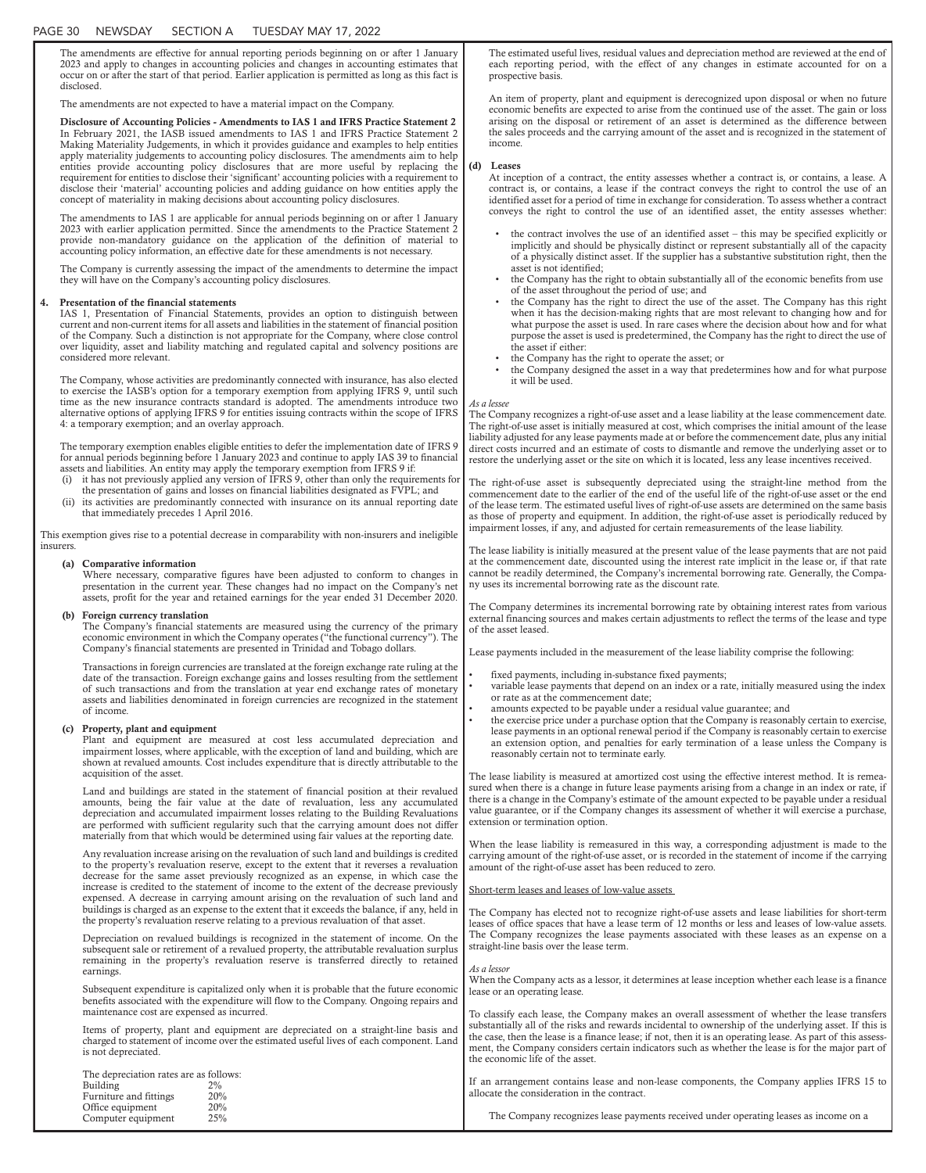## PAGE 30 NEWSDAY SECTION A TUESDAY MAY 17, 2022

The amendments are effective for annual reporting periods beginning on or after 1 January 2023 and apply to changes in accounting policies and changes in accounting estimates that occur on or after the start of that period. Earlier application is permitted as long as this fact is disclosed.

The amendments are not expected to have a material impact on the Company.

Disclosure of Accounting Policies - Amendments to IAS 1 and IFRS Practice Statement 2 In February 2021, the IASB issued amendments to IAS 1 and IFRS Practice Statement 2 Making Materiality Judgements, in which it provides guidance and examples to help entities apply materiality judgements to accounting policy disclosures. The amendments aim to help entities provide accounting policy disclosures that are more useful by replacing the requirement for entities to disclose their 'significant' accounting policies with a requirement to disclose their 'material' accounting policies and adding guidance on how entities apply the concept of materiality in making decisions about accounting policy disclosures.

The amendments to IAS 1 are applicable for annual periods beginning on or after 1 January 2023 with earlier application permitted. Since the amendments to the Practice Statement 2 provide non-mandatory guidance on the application of the definition of material to accounting policy information, an effective date for these amendments is not necessary.

The Company is currently assessing the impact of the amendments to determine the impact they will have on the Company's accounting policy disclosures.

#### 4. Presentation of the financial statements

IAS 1, Presentation of Financial Statements, provides an option to distinguish between current and non-current items for all assets and liabilities in the statement of financial position of the Company. Such a distinction is not appropriate for the Company, where close control over liquidity, asset and liability matching and regulated capital and solvency positions are considered more relevant.

The Company, whose activities are predominantly connected with insurance, has also elected to exercise the IASB's option for a temporary exemption from applying IFRS 9, until such time as the new insurance contracts standard is adopted. The amendments introduce two alternative options of applying IFRS 9 for entities issuing contracts within the scope of IFRS 4: a temporary exemption; and an overlay approach.

The temporary exemption enables eligible entities to defer the implementation date of IFRS 9 for annual periods beginning before 1 January 2023 and continue to apply IAS 39 to financial assets and liabilities. An entity may apply the temporary exemption from IFRS 9 if:

- (i) it has not previously applied any version of IFRS 9, other than only the requirements for the presentation of gains and losses on financial liabilities designated as FVPL; and (ii) its activities are predominantly connected with insurance on its annual reporting
- its activities are predominantly connected with insurance on its annual reporting date that immediately precedes 1 April 2016.

This exemption gives rise to a potential decrease in comparability with non-insurers and ineligible insurers.

#### (a) Comparative information

Where necessary, comparative figures have been adjusted to conform to changes in presentation in the current year. These changes had no impact on the Company's net assets, profit for the year and retained earnings for the year ended 31 December 2020.

### (b) Foreign currency translation

The Company's financial statements are measured using the currency of the primary economic environment in which the Company operates ("the functional currency"). The Company's financial statements are presented in Trinidad and Tobago dollars.

Transactions in foreign currencies are translated at the foreign exchange rate ruling at the date of the transaction. Foreign exchange gains and losses resulting from the settlement of such transactions and from the translation at year end exchange rates of monetary assets and liabilities denominated in foreign currencies are recognized in the statement of income.

### (c) Property, plant and equipment

Plant and equipment are measured at cost less accumulated depreciation and impairment losses, where applicable, with the exception of land and building, which are shown at revalued amounts. Cost includes expenditure that is directly attributable to the acquisition of the asset.

Land and buildings are stated in the statement of financial position at their revalued amounts, being the fair value at the date of revaluation, less any accumulated depreciation and accumulated impairment losses relating to the Building Revaluations are performed with sufficient regularity such that the carrying amount does not differ materially from that which would be determined using fair values at the reporting date.

Any revaluation increase arising on the revaluation of such land and buildings is credited to the property's revaluation reserve, except to the extent that it reverses a revaluation decrease for the same asset previously recognized as an expense, in which case the increase is credited to the statement of income to the extent of the decrease previously expensed. A decrease in carrying amount arising on the revaluation of such land and buildings is charged as an expense to the extent that it exceeds the balance, if any, held in the property's revaluation reserve relating to a previous revaluation of that asset.

Depreciation on revalued buildings is recognized in the statement of income. On the subsequent sale or retirement of a revalued property, the attributable revaluation surplus remaining in the property's revaluation reserve is transferred directly to retained earnings.

Subsequent expenditure is capitalized only when it is probable that the future economic benefits associated with the expenditure will flow to the Company. Ongoing repairs and maintenance cost are expensed as incurred.

Items of property, plant and equipment are depreciated on a straight-line basis and charged to statement of income over the estimated useful lives of each component. Land is not depreciated.

| The depreciation rates are as follows: |       |
|----------------------------------------|-------|
| Building                               | $2\%$ |
| Furniture and fittings                 | 20%   |
| Office equipment                       | 20%   |
| Computer equipment                     | 25%   |

The estimated useful lives, residual values and depreciation method are reviewed at the end of each reporting period, with the effect of any changes in estimate accounted for on a prospective basis.

An item of property, plant and equipment is derecognized upon disposal or when no future economic benefits are expected to arise from the continued use of the asset. The gain or loss arising on the disposal or retirement of an asset is determined as the difference between the sales proceeds and the carrying amount of the asset and is recognized in the statement of income.

#### (d) Leases

At inception of a contract, the entity assesses whether a contract is, or contains, a lease. A contract is, or contains, a lease if the contract conveys the right to control the use of an identified asset for a period of time in exchange for consideration. To assess whether a contract conveys the right to control the use of an identified asset, the entity assesses whether:

- the contract involves the use of an identified asset this may be specified explicitly or implicitly and should be physically distinct or represent substantially all of the capacity of a physically distinct asset. If the supplier has a substantive substitution right, then the asset is not identified;
- the Company has the right to obtain substantially all of the economic benefits from use of the asset throughout the period of use; and
- the Company has the right to direct the use of the asset. The Company has this right when it has the decision-making rights that are most relevant to changing how and for what purpose the asset is used. In rare cases where the decision about how and for what purpose the asset is used is predetermined, the Company has the right to direct the use of the asset if either:
- the Company has the right to operate the asset; or
- the Company designed the asset in a way that predetermines how and for what purpose it will be used.

#### *As a lessee*

The Company recognizes a right-of-use asset and a lease liability at the lease commencement date. The right-of-use asset is initially measured at cost, which comprises the initial amount of the lease liability adjusted for any lease payments made at or before the commencement date, plus any initial direct costs incurred and an estimate of costs to dismantle and remove the underlying asset or to restore the underlying asset or the site on which it is located, less any lease incentives received.

The right-of-use asset is subsequently depreciated using the straight-line method from the commencement date to the earlier of the end of the useful life of the right-of-use asset or the end of the lease term. The estimated useful lives of right-of-use assets are determined on the same basis as those of property and equipment. In addition, the right-of-use asset is periodically reduced by impairment losses, if any, and adjusted for certain remeasurements of the lease liability.

The lease liability is initially measured at the present value of the lease payments that are not paid at the commencement date, discounted using the interest rate implicit in the lease or, if that rate cannot be readily determined, the Company's incremental borrowing rate. Generally, the Company uses its incremental borrowing rate as the discount rate.

The Company determines its incremental borrowing rate by obtaining interest rates from various external financing sources and makes certain adjustments to reflect the terms of the lease and type of the asset leased.

Lease payments included in the measurement of the lease liability comprise the following:

- fixed payments, including in-substance fixed payments;
- variable lease payments that depend on an index or a rate, initially measured using the index or rate as at the commencement date;
- amounts expected to be payable under a residual value guarantee; and
- the exercise price under a purchase option that the Company is reasonably certain to exercise, lease payments in an optional renewal period if the Company is reasonably certain to exercise an extension option, and penalties for early termination of a lease unless the Company is reasonably certain not to terminate early.

The lease liability is measured at amortized cost using the effective interest method. It is remeasured when there is a change in future lease payments arising from a change in an index or rate, if there is a change in the Company's estimate of the amount expected to be payable under a residual value guarantee, or if the Company changes its assessment of whether it will exercise a purchase, extension or termination option.

When the lease liability is remeasured in this way, a corresponding adjustment is made to the carrying amount of the right-of-use asset, or is recorded in the statement of income if the carrying amount of the right-of-use asset has been reduced to zero.

Short-term leases and leases of low-value assets

The Company has elected not to recognize right-of-use assets and lease liabilities for short-term leases of office spaces that have a lease term of 12 months or less and leases of low-value assets. The Company recognizes the lease payments associated with these leases as an expense on a straight-line basis over the lease term.

### *As a lessor*

When the Company acts as a lessor, it determines at lease inception whether each lease is a finance lease or an operating lease.

To classify each lease, the Company makes an overall assessment of whether the lease transfers substantially all of the risks and rewards incidental to ownership of the underlying asset. If this is the case, then the lease is a finance lease; if not, then it is an operating lease. As part of this assessment, the Company considers certain indicators such as whether the lease is for the major part of the economic life of the asset.

If an arrangement contains lease and non-lease components, the Company applies IFRS 15 to allocate the consideration in the contract.

The Company recognizes lease payments received under operating leases as income on a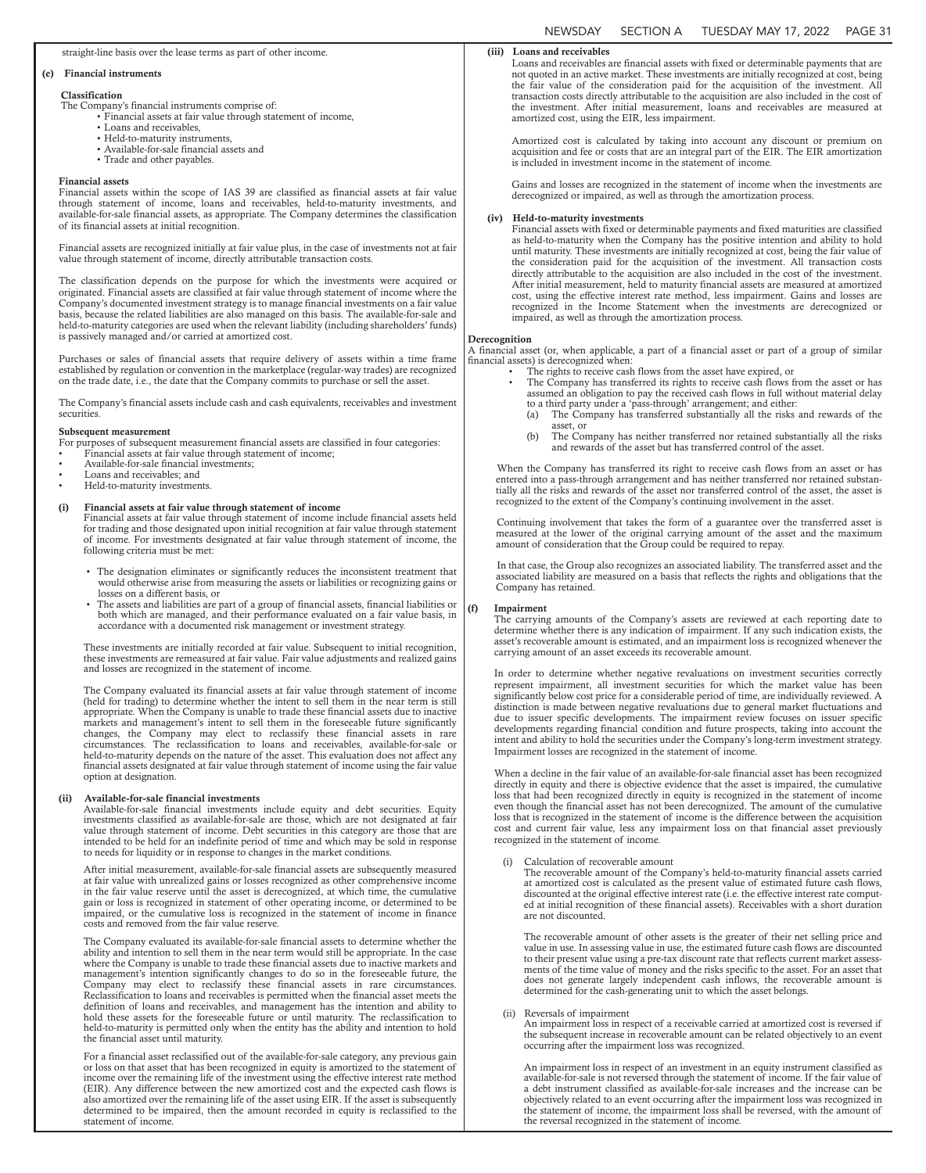### straight-line basis over the lease terms as part of other income.

### (e) Financial instruments

#### Classification

- The Company's financial instruments comprise of:
	- Financial assets at fair value through statement of income,
		- Loans and receivables,
		- Held-to-maturity instruments, • Available-for-sale financial assets and
		- Trade and other payables.

#### Financial assets

Financial assets within the scope of IAS 39 are classified as financial assets at fair value through statement of income, loans and receivables, held-to-maturity investments, and available-for-sale financial assets, as appropriate. The Company determines the classification of its financial assets at initial recognition.

Financial assets are recognized initially at fair value plus, in the case of investments not at fair value through statement of income, directly attributable transaction costs.

The classification depends on the purpose for which the investments were acquired or originated. Financial assets are classified at fair value through statement of income where the Company's documented investment strategy is to manage financial investments on a fair value basis, because the related liabilities are also managed on this basis. The available-for-sale and held-to-maturity categories are used when the relevant liability (including shareholders' funds) is passively managed and/or carried at amortized cost.

Purchases or sales of financial assets that require delivery of assets within a time frame established by regulation or convention in the marketplace (regular-way trades) are recognized on the trade date, i.e., the date that the Company commits to purchase or sell the asset.

The Company's financial assets include cash and cash equivalents, receivables and investment securities.

#### Subsequent measurement

For purposes of subsequent measurement financial assets are classified in four categories:

- Financial assets at fair value through statement of income;
- Available-for-sale financial investments; • Loans and receivables; and
- Held-to-maturity investments.
- 

# (i) Financial assets at fair value through statement of income

Financial assets at fair value through statement of income include financial assets held for trading and those designated upon initial recognition at fair value through statement of income. For investments designated at fair value through statement of income, the following criteria must be met:

- The designation eliminates or significantly reduces the inconsistent treatment that would otherwise arise from measuring the assets or liabilities or recognizing gains or losses on a different basis, or
- The assets and liabilities are part of a group of financial assets, financial liabilities or both which are managed, and their performance evaluated on a fair value basis, in accordance with a documented risk management or investment strategy.

These investments are initially recorded at fair value. Subsequent to initial recognition, these investments are remeasured at fair value. Fair value adjustments and realized gains and losses are recognized in the statement of income.

The Company evaluated its financial assets at fair value through statement of income (held for trading) to determine whether the intent to sell them in the near term is still appropriate. When the Company is unable to trade these financial assets due to inactive markets and management's intent to sell them in the foreseeable future significantly changes, the Company may elect to reclassify these financial assets in rare circumstances. The reclassification to loans and receivables, available-for-sale or held-to-maturity depends on the nature of the asset. This evaluation does not affect any financial assets designated at fair value through statement of income using the fair value option at designation.

### (ii) Available-for-sale financial investments

Available-for-sale financial investments include equity and debt securities. Equity investments classified as available-for-sale are those, which are not designated at fair value through statement of income. Debt securities in this category are those that are intended to be held for an indefinite period of time and which may be sold in response to needs for liquidity or in response to changes in the market conditions.

After initial measurement, available-for-sale financial assets are subsequently measured at fair value with unrealized gains or losses recognized as other comprehensive income in the fair value reserve until the asset is derecognized, at which time, the cumulative gain or loss is recognized in statement of other operating income, or determined to be impaired, or the cumulative loss is recognized in the statement of income in finance costs and removed from the fair value reserve.

The Company evaluated its available-for-sale financial assets to determine whether the ability and intention to sell them in the near term would still be appropriate. In the case where the Company is unable to trade these financial assets due to inactive markets and management's intention significantly changes to do so in the foreseeable future, the Company may elect to reclassify these financial assets in rare circumstances. Reclassification to loans and receivables is permitted when the financial asset meets the definition of loans and receivables, and management has the intention and ability to hold these assets for the foreseeable future or until maturity. The reclassification to held-to-maturity is permitted only when the entity has the ability and intention to hold the financial asset until maturity.

For a financial asset reclassified out of the available-for-sale category, any previous gain or loss on that asset that has been recognized in equity is amortized to the statement of income over the remaining life of the investment using the effective interest rate method (EIR). Any difference between the new amortized cost and the expected cash flows is also amortized over the remaining life of the asset using EIR. If the asset is subsequently determined to be impaired, then the amount recorded in equity is reclassified to the statement of income.

## (iii) Loans and receivables

Loans and receivables are financial assets with fixed or determinable payments that are not quoted in an active market. These investments are initially recognized at cost, being the fair value of the consideration paid for the acquisition of the investment. All transaction costs directly attributable to the acquisition are also included in the cost of the investment. After initial measurement, loans and receivables are measured at amortized cost, using the EIR, less impairment.

Amortized cost is calculated by taking into account any discount or premium on acquisition and fee or costs that are an integral part of the EIR. The EIR amortization is included in investment income in the statement of income.

Gains and losses are recognized in the statement of income when the investments are derecognized or impaired, as well as through the amortization process.

### (iv) Held-to-maturity investments

Financial assets with fixed or determinable payments and fixed maturities are classified as held-to-maturity when the Company has the positive intention and ability to hold until maturity. These investments are initially recognized at cost, being the fair value of the consideration paid for the acquisition of the investment. All transaction costs directly attributable to the acquisition are also included in the cost of the investment. After initial measurement, held to maturity financial assets are measured at amortized cost, using the effective interest rate method, less impairment. Gains and losses are recognized in the Income Statement when the investments are derecognized or impaired, as well as through the amortization process.

#### **Derecognition**

A financial asset (or, when applicable, a part of a financial asset or part of a group of similar financial assets) is derecognized when:

- The rights to receive cash flows from the asset have expired, or
- The Company has transferred its rights to receive cash flows from the asset or has assumed an obligation to pay the received cash flows in full without material delay to a third party under a 'pass-through' arrangement; and either: (a) The Company has transferred substantially all the risks and rewards of the
	- asset, or<br>(b) The Con
	- The Company has neither transferred nor retained substantially all the risks and rewards of the asset but has transferred control of the asset.

When the Company has transferred its right to receive cash flows from an asset or has entered into a pass-through arrangement and has neither transferred nor retained substantially all the risks and rewards of the asset nor transferred control of the asset, the asset is recognized to the extent of the Company's continuing involvement in the asset.

Continuing involvement that takes the form of a guarantee over the transferred asset is measured at the lower of the original carrying amount of the asset and the maximum amount of consideration that the Group could be required to repay.

In that case, the Group also recognizes an associated liability. The transferred asset and the associated liability are measured on a basis that reflects the rights and obligations that the Company has retained.

#### (f) Impairment

The carrying amounts of the Company's assets are reviewed at each reporting date to determine whether there is any indication of impairment. If any such indication exists, the asset's recoverable amount is estimated, and an impairment loss is recognized whenever the carrying amount of an asset exceeds its recoverable amount.

In order to determine whether negative revaluations on investment securities correctly represent impairment, all investment securities for which the market value has been significantly below cost price for a considerable period of time, are individually reviewed. A distinction is made between negative revaluations due to general market fluctuations and due to issuer specific developments. The impairment review focuses on issuer specific developments regarding financial condition and future prospects, taking into account the intent and ability to hold the securities under the Company's long-term investment strategy. Impairment losses are recognized in the statement of income.

When a decline in the fair value of an available-for-sale financial asset has been recognized directly in equity and there is objective evidence that the asset is impaired, the cumulative loss that had been recognized directly in equity is recognized in the statement of income even though the financial asset has not been derecognized. The amount of the cumulative loss that is recognized in the statement of income is the difference between the acquisition cost and current fair value, less any impairment loss on that financial asset previously recognized in the statement of income.

### (i) Calculation of recoverable amount

The recoverable amount of the Company's held-to-maturity financial assets carried at amortized cost is calculated as the present value of estimated future cash flows, discounted at the original effective interest rate (i.e. the effective interest rate computed at initial recognition of these financial assets). Receivables with a short duration are not discounted.

The recoverable amount of other assets is the greater of their net selling price and value in use. In assessing value in use, the estimated future cash flows are discounted to their present value using a pre-tax discount rate that reflects current market assessments of the time value of money and the risks specific to the asset. For an asset that does not generate largely independent cash inflows, the recoverable amount is determined for the cash-generating unit to which the asset belongs.

#### (ii) Reversals of impairment

An impairment loss in respect of a receivable carried at amortized cost is reversed if the subsequent increase in recoverable amount can be related objectively to an event occurring after the impairment loss was recognized.

An impairment loss in respect of an investment in an equity instrument classified as available-for-sale is not reversed through the statement of income. If the fair value of a debt instrument classified as available-for-sale increases and the increase can be objectively related to an event occurring after the impairment loss was recognized in the statement of income, the impairment loss shall be reversed, with the amount of the reversal recognized in the statement of income.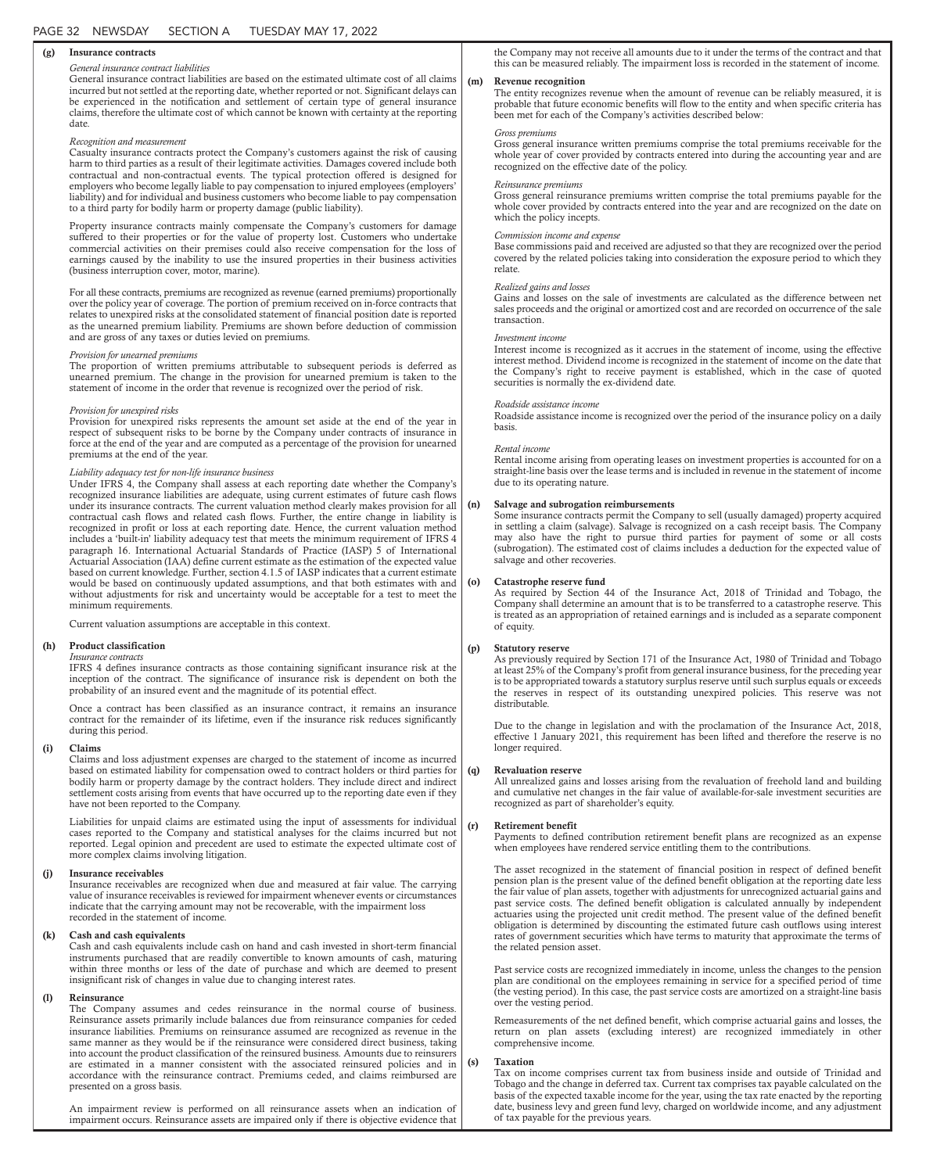### (g) Insurance contracts

### *General insurance contract liabilities*

General insurance contract liabilities are based on the estimated ultimate cost of all claims incurred but not settled at the reporting date, whether reported or not. Significant delays can be experienced in the notification and settlement of certain type of general insurance claims, therefore the ultimate cost of which cannot be known with certainty at the reporting date.

### *Recognition and measurement*

Casualty insurance contracts protect the Company's customers against the risk of causing harm to third parties as a result of their legitimate activities. Damages covered include both contractual and non-contractual events. The typical protection offered is designed for employers who become legally liable to pay compensation to injured employees (employers' liability) and for individual and business customers who become liable to pay compensation to a third party for bodily harm or property damage (public liability).

Property insurance contracts mainly compensate the Company's customers for damage suffered to their properties or for the value of property lost. Customers who undertake commercial activities on their premises could also receive compensation for the loss of earnings caused by the inability to use the insured properties in their business activities (business interruption cover, motor, marine).

For all these contracts, premiums are recognized as revenue (earned premiums) proportionally over the policy year of coverage. The portion of premium received on in-force contracts that relates to unexpired risks at the consolidated statement of financial position date is reported as the unearned premium liability. Premiums are shown before deduction of commission and are gross of any taxes or duties levied on premiums.

### *Provision for unearned premiums*

The proportion of written premiums attributable to subsequent periods is deferred as unearned premium. The change in the provision for unearned premium is taken to the statement of income in the order that revenue is recognized over the period of risk.

#### *Provision for unexpired risks*

Provision for unexpired risks represents the amount set aside at the end of the year in respect of subsequent risks to be borne by the Company under contracts of insurance in force at the end of the year and are computed as a percentage of the provision for unearned premiums at the end of the year.

### *Liability adequacy test for non-life insurance business*

Under IFRS 4, the Company shall assess at each reporting date whether the Company's recognized insurance liabilities are adequate, using current estimates of future cash flows under its insurance contracts. The current valuation method clearly makes provision for all contractual cash flows and related cash flows. Further, the entire change in liability is recognized in profit or loss at each reporting date. Hence, the current valuation method includes a 'built-in' liability adequacy test that meets the minimum requirement of IFRS 4 paragraph 16. International Actuarial Standards of Practice (IASP) 5 of International Actuarial Association (IAA) define current estimate as the estimation of the expected value based on current knowledge. Further, section 4.1.5 of IASP indicates that a current estimate would be based on continuously updated assumptions, and that both estimates with and without adjustments for risk and uncertainty would be acceptable for a test to meet the minimum requirements.

Current valuation assumptions are acceptable in this context.

### (h) Product classification

*Insurance contracts* IFRS 4 defines insurance contracts as those containing significant insurance risk at the inception of the contract. The significance of insurance risk is dependent on both the probability of an insured event and the magnitude of its potential effect.

Once a contract has been classified as an insurance contract, it remains an insurance contract for the remainder of its lifetime, even if the insurance risk reduces significantly during this period.

#### (i) Claims

Claims and loss adjustment expenses are charged to the statement of income as incurred based on estimated liability for compensation owed to contract holders or third parties for bodily harm or property damage by the contract holders. They include direct and indirect settlement costs arising from events that have occurred up to the reporting date even if they have not been reported to the Company.

Liabilities for unpaid claims are estimated using the input of assessments for individual cases reported to the Company and statistical analyses for the claims incurred but not reported. Legal opinion and precedent are used to estimate the expected ultimate cost of more complex claims involving litigation.

#### (j) Insurance receivables

Insurance receivables are recognized when due and measured at fair value. The carrying value of insurance receivables is reviewed for impairment whenever events or circumstances indicate that the carrying amount may not be recoverable, with the impairment loss recorded in the statement of income.

### (k) Cash and cash equivalents

Cash and cash equivalents include cash on hand and cash invested in short-term financial instruments purchased that are readily convertible to known amounts of cash, maturing within three months or less of the date of purchase and which are deemed to present insignificant risk of changes in value due to changing interest rates.

### (l) Reinsurance

The Company assumes and cedes reinsurance in the normal course of business. Reinsurance assets primarily include balances due from reinsurance companies for ceded insurance liabilities. Premiums on reinsurance assumed are recognized as revenue in the same manner as they would be if the reinsurance were considered direct business, taking into account the product classification of the reinsured business. Amounts due to reinsurers are estimated in a manner consistent with the associated reinsured policies and in accordance with the reinsurance contract. Premiums ceded, and claims reimbursed are presented on a gross basis.

An impairment review is performed on all reinsurance assets when an indication of impairment occurs. Reinsurance assets are impaired only if there is objective evidence that

the Company may not receive all amounts due to it under the terms of the contract and that this can be measured reliably. The impairment loss is recorded in the statement of income.

### (m) Revenue recognition

The entity recognizes revenue when the amount of revenue can be reliably measured, it is probable that future economic benefits will flow to the entity and when specific criteria has been met for each of the Company's activities described below:

### *Gross premiums*

Gross general insurance written premiums comprise the total premiums receivable for the whole year of cover provided by contracts entered into during the accounting year and are recognized on the effective date of the policy.

#### *Reinsurance premiums*

Gross general reinsurance premiums written comprise the total premiums payable for the whole cover provided by contracts entered into the year and are recognized on the date on which the policy incepts.

#### *Commission income and expense*

Base commissions paid and received are adjusted so that they are recognized over the period covered by the related policies taking into consideration the exposure period to which they relate.

### *Realized gains and losses*

Gains and losses on the sale of investments are calculated as the difference between net sales proceeds and the original or amortized cost and are recorded on occurrence of the sale transaction.

### *Investment income*

Interest income is recognized as it accrues in the statement of income, using the effective interest method. Dividend income is recognized in the statement of income on the date that the Company's right to receive payment is established, which in the case of quoted securities is normally the ex-dividend date.

#### *Roadside assistance income*

Roadside assistance income is recognized over the period of the insurance policy on a daily basis.

### *Rental income*

Rental income arising from operating leases on investment properties is accounted for on a straight-line basis over the lease terms and is included in revenue in the statement of income due to its operating nature.

### Salvage and subrogation reimbursements

Some insurance contracts permit the Company to sell (usually damaged) property acquired in settling a claim (salvage). Salvage is recognized on a cash receipt basis. The Company may also have the right to pursue third parties for payment of some or all costs (subrogation). The estimated cost of claims includes a deduction for the expected value of salvage and other recoveries.

### Catastrophe reserve fund

As required by Section 44 of the Insurance Act, 2018 of Trinidad and Tobago, the Company shall determine an amount that is to be transferred to a catastrophe reserve. This is treated as an appropriation of retained earnings and is included as a separate component of equity.

### (p) Statutory reserve

As previously required by Section 171 of the Insurance Act, 1980 of Trinidad and Tobago at least 25% of the Company's profit from general insurance business, for the preceding year is to be appropriated towards a statutory surplus reserve until such surplus equals or exceeds the reserves in respect of its outstanding unexpired policies. This reserve was not distributable.

Due to the change in legislation and with the proclamation of the Insurance Act, 2018, effective 1 January 2021, this requirement has been lifted and therefore the reserve is no longer required.

### (q) Revaluation reserve

All unrealized gains and losses arising from the revaluation of freehold land and building and cumulative net changes in the fair value of available-for-sale investment securities are recognized as part of shareholder's equity.

#### (r) Retirement benefit

Payments to defined contribution retirement benefit plans are recognized as an expense when employees have rendered service entitling them to the contributions.

The asset recognized in the statement of financial position in respect of defined benefit pension plan is the present value of the defined benefit obligation at the reporting date less the fair value of plan assets, together with adjustments for unrecognized actuarial gains and past service costs. The defined benefit obligation is calculated annually by independent actuaries using the projected unit credit method. The present value of the defined benefit obligation is determined by discounting the estimated future cash outflows using interest rates of government securities which have terms to maturity that approximate the terms of the related pension asset.

Past service costs are recognized immediately in income, unless the changes to the pension plan are conditional on the employees remaining in service for a specified period of time (the vesting period). In this case, the past service costs are amortized on a straight-line basis over the vesting period.

Remeasurements of the net defined benefit, which comprise actuarial gains and losses, the return on plan assets (excluding interest) are recognized immediately in other comprehensive income.

#### **Taxation**

Tax on income comprises current tax from business inside and outside of Trinidad and Tobago and the change in deferred tax. Current tax comprises tax payable calculated on the basis of the expected taxable income for the year, using the tax rate enacted by the reporting date, business levy and green fund levy, charged on worldwide income, and any adjustment of tax payable for the previous years.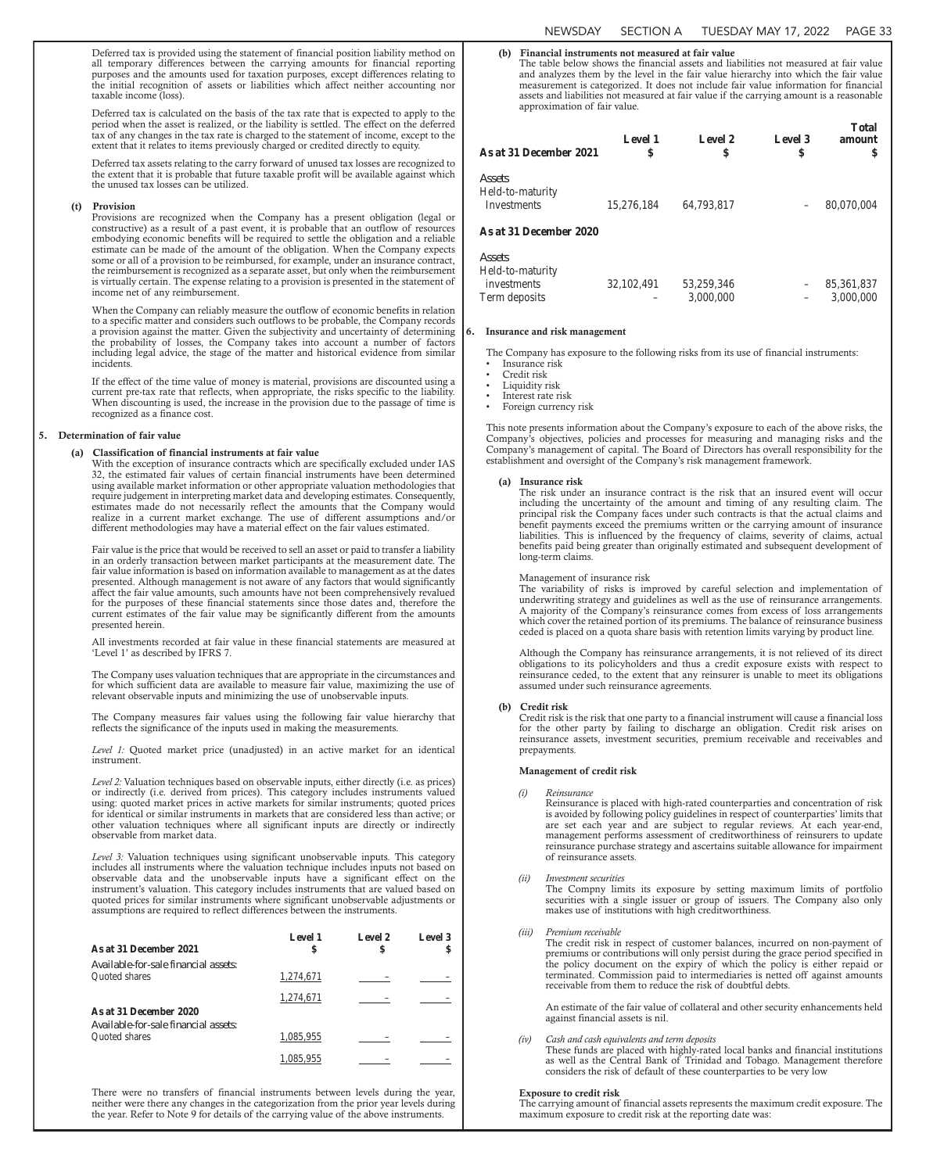Deferred tax is provided using the statement of financial position liability method on all temporary differences between the carrying amounts for financial reporting purposes and the amounts used for taxation purposes, except differences relating to the initial recognition of assets or liabilities which affect neither accounting nor taxable income (loss).

Deferred tax is calculated on the basis of the tax rate that is expected to apply to the period when the asset is realized, or the liability is settled. The effect on the deferred tax of any changes in the tax rate is charged to the statement of income, except to the extent that it relates to items previously charged or credited directly to equity.

Deferred tax assets relating to the carry forward of unused tax losses are recognized to the extent that it is probable that future taxable profit will be available against which the unused tax losses can be utilized.

#### (t) Provision

Provisions are recognized when the Company has a present obligation (legal or constructive) as a result of a past event, it is probable that an outflow of resources embodying economic benefits will be required to settle the obligation and a reliable estimate can be made of the amount of the obligation. When the Company expects some or all of a provision to be reimbursed, for example, under an insurance contract, the reimbursement is recognized as a separate asset, but only when the reimbursement is virtually certain. The expense relating to a provision is presented in the statement of income net of any reimbursement.

When the Company can reliably measure the outflow of economic benefits in relation to a specific matter and considers such outflows to be probable, the Company records a provision against the matter. Given the subjectivity and uncertainty of determining the probability of losses, the Company takes into account a number of factors including legal advice, the stage of the matter and historical evidence from similar incidents.

If the effect of the time value of money is material, provisions are discounted using a current pre-tax rate that reflects, when appropriate, the risks specific to the liability. When discounting is used, the increase in the provision due to the passage of time is recognized as a finance cost.

#### 5. Determination of fair value

#### (a) Classification of financial instruments at fair value

With the exception of insurance contracts which are specifically excluded under IAS 32, the estimated fair values of certain financial instruments have been determined using available market information or other appropriate valuation methodologies that require judgement in interpreting market data and developing estimates. Consequently, estimates made do not necessarily reflect the amounts that the Company would realize in a current market exchange. The use of different assumptions and/or different methodologies may have a material effect on the fair values estimated.

Fair value is the price that would be received to sell an asset or paid to transfer a liability in an orderly transaction between market participants at the measurement date. The fair value information is based on information available to management as at the dates presented. Although management is not aware of any factors that would significantly affect the fair value amounts, such amounts have not been comprehensively revalued for the purposes of these financial statements since those dates and, therefore the current estimates of the fair value may be significantly different from the amounts presented herein.

All investments recorded at fair value in these financial statements are measured at 'Level 1' as described by IFRS 7.

The Company uses valuation techniques that are appropriate in the circumstances and for which sufficient data are available to measure fair value, maximizing the use of relevant observable inputs and minimizing the use of unobservable inputs.

The Company measures fair values using the following fair value hierarchy that reflects the significance of the inputs used in making the measurements.

*Level 1:* Quoted market price (unadjusted) in an active market for an identical instrument.

*Level 2:* Valuation techniques based on observable inputs, either directly (i.e. as prices) or indirectly (i.e. derived from prices). This category includes instruments valued using: quoted market prices in active markets for similar instruments; quoted prices for identical or similar instruments in markets that are considered less than active; or other valuation techniques where all significant inputs are directly or indirectly observable from market data.

*Level 3:* Valuation techniques using significant unobservable inputs. This category includes all instruments where the valuation technique includes inputs not based on observable data and the unobservable inputs have a significant effect on the instrument's valuation. This category includes instruments that are valued based on quoted prices for similar instruments where significant unobservable adjustments or assumptions are required to reflect differences between the instruments.

| As at 31 December 2021               | <b>Level 1</b><br>\$ | Level 2<br>S | Level 3<br>S |
|--------------------------------------|----------------------|--------------|--------------|
| Available-for-sale financial assets: |                      |              |              |
| <b>Ouoted</b> shares                 | 1,274,671            |              |              |
|                                      | 1,274,671            |              |              |
| As at 31 December 2020               |                      |              |              |
| Available-for-sale financial assets: |                      |              |              |
| <b>Ouoted</b> shares                 | 1,085,955            |              |              |
|                                      | 1,085,955            |              |              |

There were no transfers of financial instruments between levels during the year, neither were there any changes in the categorization from the prior year levels during the year. Refer to Note 9 for details of the carrying value of the above instruments.

### (b) Financial instruments not measured at fair value

The table below shows the financial assets and liabilities not measured at fair value and analyzes them by the level in the fair value hierarchy into which the fair value measurement is categorized. It does not include fair value information for financial assets and liabilities not measured at fair value if the carrying amount is a reasonable approximation of fair value.

| As at 31 December 2021                    | <b>Level 1</b><br>\$ | <b>Level 2</b><br>\$ | Level 3<br>\$ | <b>Total</b><br>amount |
|-------------------------------------------|----------------------|----------------------|---------------|------------------------|
| Assets<br>Held-to-maturity<br>Investments | 15,276,184           | 64,793,817           |               | 80,070,004             |
| <b>As at 31 December 2020</b>             |                      |                      |               |                        |

| Assets                          |            |            |                          |               |
|---------------------------------|------------|------------|--------------------------|---------------|
| Held-to-maturity<br>investments | 32.102.491 | 53.259.346 |                          | $-85,361,837$ |
| Term deposits                   | $-$        | 3,000,000  | $\overline{\phantom{a}}$ | 3,000,000     |

#### Insurance and risk management

The Company has exposure to the following risks from its use of financial instruments:

- Insurance risk • Credit risk
- Liquidity risk
- Interest rate risk
- Foreign currency risk

This note presents information about the Company's exposure to each of the above risks, the Company's objectives, policies and processes for measuring and managing risks and the Company's management of capital. The Board of Directors has overall responsibility for the establishment and oversight of the Company's risk management framework.

#### (a) Insurance risk

The risk under an insurance contract is the risk that an insured event will occur including the uncertainty of the amount and timing of any resulting claim. The principal risk the Company faces under such contracts is that the actual claims and benefit payments exceed the premiums written or the carrying amount of insurance liabilities. This is influenced by the frequency of claims, severity of claims, actual benefits paid being greater than originally estimated and subsequent development of long-term claims.

#### Management of insurance risk

The variability of risks is improved by careful selection and implementation of underwriting strategy and guidelines as well as the use of reinsurance arrangements. A majority of the Company's reinsurance comes from excess of loss arrangements which cover the retained portion of its premiums. The balance of reinsurance business ceded is placed on a quota share basis with retention limits varying by product line.

Although the Company has reinsurance arrangements, it is not relieved of its direct obligations to its policyholders and thus a credit exposure exists with respect to reinsurance ceded, to the extent that any reinsurer is unable to meet its obligations assumed under such reinsurance agreements.

#### (b) Credit risk

Credit risk is the risk that one party to a financial instrument will cause a financial loss for the other party by failing to discharge an obligation. Credit risk arises on reinsurance assets, investment securities, premium receivable and receivables and prepayments.

### Management of credit risk

#### *(i) Reinsurance*

Reinsurance is placed with high-rated counterparties and concentration of risk is avoided by following policy guidelines in respect of counterparties' limits that are set each year and are subject to regular reviews. At each year-end, management performs assessment of creditworthiness of reinsurers to update reinsurance purchase strategy and ascertains suitable allowance for impairment of reinsurance assets.

*(ii) Investment securities*

The Compny limits its exposure by setting maximum limits of portfolio securities with a single issuer or group of issuers. The Company also only makes use of institutions with high creditworthiness.

*(iii) Premium receivable*

The credit risk in respect of customer balances, incurred on non-payment of premiums or contributions will only persist during the grace period specified in the policy document on the expiry of which the policy is either repaid or terminated. Commission paid to intermediaries is netted off against amounts receivable from them to reduce the risk of doubtful debts.

An estimate of the fair value of collateral and other security enhancements held against financial assets is nil.

*(iv) Cash and cash equivalents and term deposits*

These funds are placed with highly-rated local banks and financial institutions as well as the Central Bank of Trinidad and Tobago. Management therefore considers the risk of default of these counterparties to be very low

#### Exposure to credit risk

The carrying amount of financial assets represents the maximum credit exposure. The maximum exposure to credit risk at the reporting date was: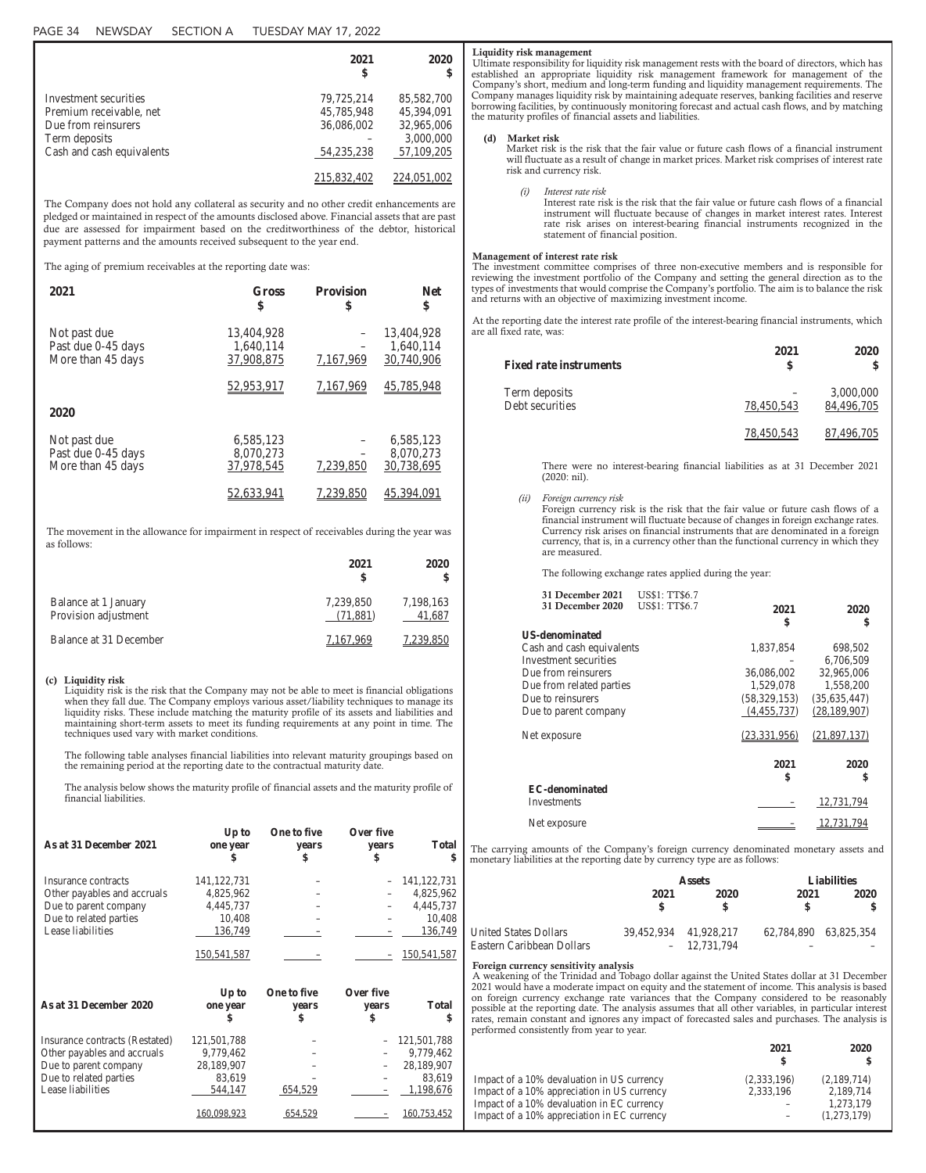|                           | 2021<br>\$   | 2020<br>\$ |
|---------------------------|--------------|------------|
| Investment securities     | 79,725,214   | 85,582,700 |
| Premium receivable, net   | 45,785,948   | 45,394,091 |
| Due from reinsurers       | 36,086,002   | 32,965,006 |
| Term deposits             |              | 3,000,000  |
| Cash and cash equivalents | 54, 235, 238 | 57,109,205 |
|                           | 215,832,402  | 224.03     |

The Company does not hold any collateral as security and no other credit enhancements are pledged or maintained in respect of the amounts disclosed above. Financial assets that are past due are assessed for impairment based on the creditworthiness of the debtor, historical payment patterns and the amounts received subsequent to the year end.

The aging of premium receivables at the reporting date was:

| 2021               | Gross      | <b>Provision</b> | <b>Net</b> |
|--------------------|------------|------------------|------------|
|                    | \$         | \$               | \$         |
| Not past due       | 13,404,928 | 7,167,969        | 13,404,928 |
| Past due 0-45 days | 1,640,114  |                  | 1,640,114  |
| More than 45 days  | 37,908,875 |                  | 30,740,906 |
|                    | 52,953,917 | 7.167.969        | 45,785,948 |
| 2020               |            |                  |            |
| Not past due       | 6,585,123  | 7,239,850        | 6,585,123  |
| Past due 0-45 days | 8,070,273  |                  | 8,070,273  |
| More than 45 days  | 37,978,545 |                  | 30,738,695 |
|                    | 52.633.941 | 239.850          | 45.394.    |

The movement in the allowance for impairment in respect of receivables during the year was as follows:

|                                              | 2021<br>S             | 2020                |
|----------------------------------------------|-----------------------|---------------------|
| Balance at 1 January<br>Provision adjustment | 7,239,850<br>(71,881) | 7,198,163<br>41,687 |
| Balance at 31 December                       | 7.167.969             | 7.239.850           |

### (c) Liquidity risk

Liquidity risk is the risk that the Company may not be able to meet is financial obligations when they fall due. The Company employs various asset/liability techniques to manage its liquidity risks. These include matching the maturity profile of its assets and liabilities and maintaining short-term assets to meet its funding requirements at any point in time. The techniques used vary with market conditions.

The following table analyses financial liabilities into relevant maturity groupings based on the remaining period at the reporting date to the contractual maturity date

The analysis below shows the maturity profile of financial assets and the maturity profile of financial liabilities.

| As at 31 December 2021         | Up to<br>one year<br>\$ | One to five<br>vears<br>\$ | Over five<br>vears<br>\$ | <b>Total</b><br>\$ |
|--------------------------------|-------------------------|----------------------------|--------------------------|--------------------|
| Insurance contracts            | 141, 122, 731           |                            |                          | 141, 122, 731      |
| Other payables and accruals    | 4,825,962               |                            |                          | 4,825,962          |
| Due to parent company          | 4,445,737               |                            |                          | 4,445,737          |
| Due to related parties         | 10,408                  |                            |                          | 10,408             |
| Lease liabilities              | 136,749                 |                            |                          | 136,749            |
|                                | 150, 541, 587           |                            |                          | 150,541,587        |
|                                |                         |                            |                          |                    |
| As at 31 December 2020         | Up to<br>one year<br>\$ | One to five<br>vears<br>\$ | Over five<br>vears<br>\$ | <b>Total</b><br>\$ |
| Insurance contracts (Restated) | 121,501,788             |                            |                          | 121,501,788        |
| Other payables and accruals    | 9,779,462               |                            |                          | 9,779,462          |
| Due to parent company          | 28,189,907              |                            |                          | 28,189,907         |
| Due to related parties         | 83,619                  |                            |                          | 83,619             |
| Lease liabilities              | 544,147                 | 654,529                    |                          | 1,198,676          |

#### Liquidity risk management

Ultimate responsibility for liquidity risk management rests with the board of directors, which has established an appropriate liquidity risk management framework for management of the Company's short, medium and long-term funding and liquidity management requirements. The Company manages liquidity risk by maintaining adequate reserves, banking facilities and reserve borrowing facilities, by continuously monitoring forecast and actual cash flows, and by matching the maturity profiles of financial assets and liabilities.

#### (d) Market risk

Market risk is the risk that the fair value or future cash flows of a financial instrument will fluctuate as a result of change in market prices. Market risk comprises of interest rate risk and currency risk.

*(i) Interest rate risk*

Interest rate risk is the risk that the fair value or future cash flows of a financial instrument will fluctuate because of changes in market interest rates. Interest rate risk arises on interest-bearing financial instruments recognized in the statement of financial position.

#### Management of interest rate risk

The investment committee comprises of three non-executive members and is responsible for reviewing the investment portfolio of the Company and setting the general direction as to the types of investments that would comprise the Company's portfolio. The aim is to balance the risk and returns with an objective of maximizing investment income.

At the reporting date the interest rate profile of the interest-bearing financial instruments, which are all fixed rate, was:

| <b>Fixed rate instruments</b>    | 2021       | 2020                    |
|----------------------------------|------------|-------------------------|
| Term deposits<br>Debt securities | 78,450,543 | 3,000,000<br>84,496,705 |
|                                  | 78,450,543 | 87.496.705              |

There were no interest-bearing financial liabilities as at 31 December 2021 (2020: nil).

### *(ii) Foreign currency risk*

Foreign currency risk is the risk that the fair value or future cash flows of a financial instrument will fluctuate because of changes in foreign exchange rates. Currency risk arises on financial instruments that are denominated in a foreign currency, that is, in a currency other than the functional currency in which they are measured.

The following exchange rates applied during the year:

| 31 December 2021          | <b>US\$1: TT\$6.7</b> |                |                |
|---------------------------|-----------------------|----------------|----------------|
| 31 December 2020          | <b>US\$1: TT\$6.7</b> | 2021           | 2020           |
|                           |                       | \$             | \$             |
| <b>US-denominated</b>     |                       |                |                |
| Cash and cash equivalents |                       | 1,837,854      | 698,502        |
| Investment securities     |                       |                | 6,706,509      |
| Due from reinsurers       |                       | 36,086,002     | 32,965,006     |
| Due from related parties  |                       | 1,529,078      | 1,558,200      |
| Due to reinsurers         |                       | (58, 329, 153) | (35,635,447)   |
| Due to parent company     |                       | (4,455,737)    | (28, 189, 907) |
| Net exposure              |                       | (23, 331, 956) | (21,897,137)   |
|                           |                       | 2021<br>\$     | 2020<br>\$     |
| <b>EC-denominated</b>     |                       |                |                |
| Investments               |                       |                | 12,731,794     |
| Net exposure              |                       |                | 12.731.794     |

The carrying amounts of the Company's foreign currency denominated monetary assets and monetary liabilities at the reporting date by currency type are as follows:

|                                                           | <b>Assets</b>         |               |                       | <b>Liabilities</b> |  |
|-----------------------------------------------------------|-----------------------|---------------|-----------------------|--------------------|--|
|                                                           | 2021                  | 2020          | 2021<br>S             | 2020               |  |
| <b>United States Dollars</b><br>Eastern Caribbean Dollars | 39,452,934 41,928,217 | $-12,731,794$ | 62,784,890 63,825,354 |                    |  |

### Foreign currency sensitivity analysis

A weakening of the Trinidad and Tobago dollar against the United States dollar at 31 December 2021 would have a moderate impact on equity and the statement of income. This analysis is based on foreign currency exchange rate variances that the Company considered to be reasonably possible at the reporting date. The analysis assumes that all other variables, in particular interest rates, remain constant and ignores any impact of forecasted sales and purchases. The analysis is performed consistently from year to year.

|                                                                                                                                                                                        | 2021                     | 2020                                                 |
|----------------------------------------------------------------------------------------------------------------------------------------------------------------------------------------|--------------------------|------------------------------------------------------|
| Impact of a 10% devaluation in US currency<br>Impact of a 10% appreciation in US currency<br>Impact of a 10% devaluation in EC currency<br>Impact of a 10% appreciation in EC currency | (2,333,196)<br>2,333,196 | (2,189,714)<br>2,189,714<br>1,273,179<br>(1,273,179) |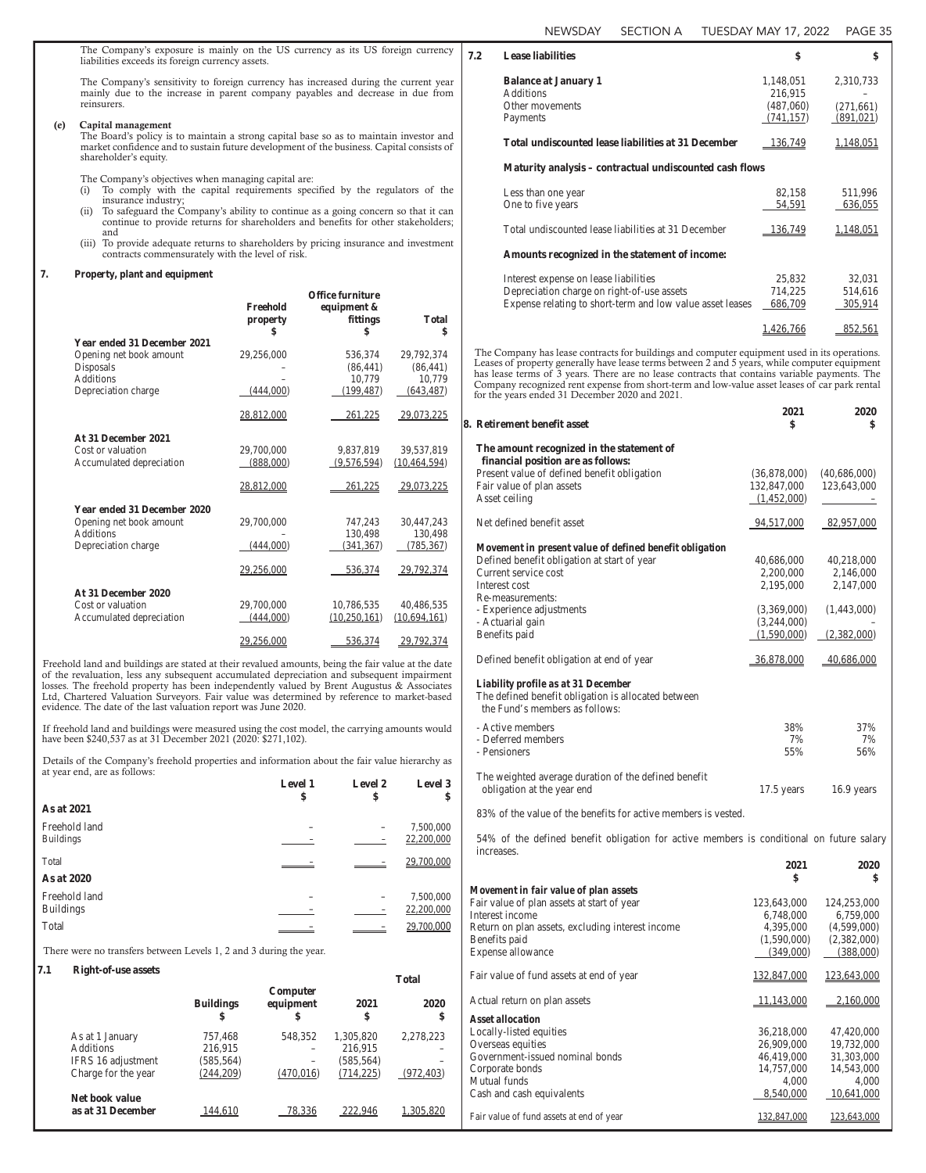The Company's exposure is mainly on the US currency as its US foreign currency liabilities exceeds its foreign currency assets.

The Company's sensitivity to foreign currency has increased during the current year mainly due to the increase in parent company payables and decrease in due from reinsurers.

### (e) Capital management

The Board's policy is to maintain a strong capital base so as to maintain investor and market confidence and to sustain future development of the business. Capital consists of shareholder's equity.

The Company's objectives when managing capital are:

- (i) To comply with the capital requirements specified by the regulators of the insurance industry;
- (ii) To safeguard the Company's ability to continue as a going concern so that it can continue to provide returns for shareholders and benefits for other stakeholders; and
- (iii) To provide adequate returns to shareholders by pricing insurance and investment contracts commensurately with the level of risk.

### **7. Property, plant and equipment**

|                                    |               | Office furniture |                    |
|------------------------------------|---------------|------------------|--------------------|
|                                    | Freehold      | equipment &      |                    |
|                                    | property<br>S | fittings<br>\$   | <b>Total</b><br>\$ |
| <b>Year ended 31 December 2021</b> |               |                  |                    |
| Opening net book amount            | 29,256,000    | 536,374          | 29,792,374         |
| Disposals                          |               | (86, 441)        | (86, 441)          |
| <b>Additions</b>                   |               | 10,779           | 10,779             |
| Depreciation charge                | (444,000)     | (199, 487)       | (643, 487)         |
|                                    | 28,812,000    | 261,225          | 29,073,225         |
| At 31 December 2021                |               |                  |                    |
| Cost or valuation                  | 29,700,000    | 9,837,819        | 39,537,819         |
| Accumulated depreciation           | (888,000)     | (9,576,594)      | (10, 464, 594)     |
|                                    | 28,812,000    | 261,225          | 29,073,225         |
| <b>Year ended 31 December 2020</b> |               |                  |                    |
| Opening net book amount            | 29,700,000    | 747,243          | 30,447,243         |
| <b>Additions</b>                   |               | 130,498          | 130,498            |
| Depreciation charge                | (444,000)     | (341, 367)       | (785, 367)         |
|                                    | 29,256,000    | 536,374          | 29,792,374         |
| At 31 December 2020                |               |                  |                    |
| Cost or valuation                  | 29,700,000    | 10,786,535       | 40,486,535         |
| Accumulated depreciation           | (444,000)     | (10,250,161)     | (10,694,161)       |
|                                    | 29,256,000    | 536,374          | 29,792,374         |

Freehold land and buildings are stated at their revalued amounts, being the fair value at the date of the revaluation, less any subsequent accumulated depreciation and subsequent impairment losses. The freehold property has been independently valued by Brent Augustus & Associates Ltd, Chartered Valuation Surveyors. Fair value was determined by reference to market-based evidence. The date of the last valuation report was June 2020.

If freehold land and buildings were measured using the cost model, the carrying amounts would have been \$240,537 as at 31 December 2021 (2020: \$271,102).

Details of the Company's freehold properties and information about the fair value hierarchy as at year end, are as follows:

|                                   | <b>Level 1</b><br>\$ | Level 2<br>\$ | Level 3<br>\$           |
|-----------------------------------|----------------------|---------------|-------------------------|
| As at 2021                        |                      |               |                         |
| Freehold land<br><b>Buildings</b> |                      |               | 7,500,000<br>22,200,000 |
| Total<br>As at 2020               |                      |               | 29,700,000              |
| Freehold land<br><b>Buildings</b> |                      |               | 7,500,000<br>22,200,000 |
| Total                             |                      |               | 29,700,000              |

There were no transfers between Levels 1, 2 and 3 during the year.

# **7.1 Right-of-use assets Total**

|                     |                        |                             |            | 1 otal     |
|---------------------|------------------------|-----------------------------|------------|------------|
|                     | <b>Buildings</b><br>\$ | Computer<br>equipment<br>\$ | 2021<br>\$ | 2020<br>\$ |
| As at 1 January     | 757,468                | 548,352                     | 1,305,820  | 2,278,223  |
| <b>Additions</b>    | 216,915                |                             | 216,915    |            |
| IFRS 16 adjustment  | (585, 564)             |                             | (585, 564) |            |
| Charge for the year | (244, 209)             | (470,016)                   | (714, 225) | (972, 403) |
| Net book value      |                        |                             |            |            |
| as at 31 December   |                        | 78.336                      | 222.946    | .305.820   |

| 7.2 | <b>Lease liabilities</b>                                | \$             | \$         |
|-----|---------------------------------------------------------|----------------|------------|
|     | <b>Balance at January 1</b>                             | 1,148,051      | 2,310,733  |
|     | <b>Additions</b>                                        | 216,915        |            |
|     | Other movements                                         | (487,060)      | (271, 661) |
|     | Payments                                                | (741, 157)     | (891, 021) |
|     | Total undiscounted lease liabilities at 31 December     | <u>136,749</u> | 1,148,051  |
|     | Maturity analysis – contractual undiscounted cash flows |                |            |
|     | Less than one year                                      | 82,158         | 511,996    |
|     | One to five years                                       | 54,591         | 636,055    |
|     | Total undiscounted lease liabilities at 31 December     | <u>136,749</u> | 1,148,051  |
|     | Amounts recognized in the statement of income:          |                |            |
|     | Interest expense on lease liabilities                   | 25,832         | 32,031     |
|     | Depreciation charge on right-of-use assets              | 714,225        | 514,616    |

Depreciation charge on right-of-use assets 714,225 514,616<br>Expense relating to short-term and low value asset leases 686,709 305,914 Expense relating to short-term and low value asset leases 1,426,766 852,561 The Company has lease contracts for buildings and computer equipment used in its operations.

Leases of property generally have lease terms between 2 and 5 years, while computer equipment has lease terms of 3 years. There are no lease contracts that contains variable payments. The Company recognized rent expense from short-term and low-value asset leases of car park rental for the years ended 31 December 2020 and 2021.

| 8. Retirement benefit asset                                                                                                  | 2021<br>\$   | 2020<br>\$   |
|------------------------------------------------------------------------------------------------------------------------------|--------------|--------------|
| The amount recognized in the statement of<br>financial position are as follows:                                              |              |              |
| Present value of defined benefit obligation                                                                                  | (36,878,000) | (40,686,000) |
| Fair value of plan assets                                                                                                    | 132,847,000  | 123,643,000  |
| Asset ceiling                                                                                                                | (1,452,000)  |              |
| Net defined benefit asset                                                                                                    | 94,517,000   | 82,957,000   |
| Movement in present value of defined benefit obligation                                                                      |              |              |
| Defined benefit obligation at start of year                                                                                  | 40,686,000   | 40,218,000   |
| Current service cost                                                                                                         | 2,200,000    | 2,146,000    |
| Interest cost                                                                                                                | 2,195,000    | 2,147,000    |
| Re-measurements:                                                                                                             |              |              |
| - Experience adjustments                                                                                                     | (3,369,000)  | (1,443,000)  |
| - Actuarial gain                                                                                                             | (3,244,000)  |              |
| Benefits paid                                                                                                                | (1,590,000)  | (2,382,000)  |
| Defined benefit obligation at end of year                                                                                    | 36,878,000   | 40,686,000   |
| Liability profile as at 31 December<br>The defined benefit obligation is allocated between<br>the Fund's members as follows: |              |              |
| - Active members                                                                                                             | 38%          | 37%          |
| - Deferred members                                                                                                           | 7%           | 7%           |
| - Pensioners                                                                                                                 | 55%          | 56%          |
| The weighted average duration of the defined benefit<br>obligation at the year end                                           | $17.5$ years | 16.9 years   |
| 83% of the value of the benefits for active members is vested.                                                               |              |              |

54% of the defined benefit obligation for active members is conditional on future salary increases.

**2021 2020**

|                                                  | \$          | \$                 |
|--------------------------------------------------|-------------|--------------------|
| Movement in fair value of plan assets            |             |                    |
| Fair value of plan assets at start of year       | 123,643,000 | 124,253,000        |
| Interest income                                  | 6,748,000   | 6,759,000          |
| Return on plan assets, excluding interest income | 4,395,000   | (4,599,000)        |
| Benefits paid                                    | (1,590,000) | (2,382,000)        |
| Expense allowance                                | (349,000)   | (388,000)          |
| Fair value of fund assets at end of year         | 132,847,000 | <u>123,643,000</u> |
| Actual return on plan assets                     | 11,143,000  | 2,160,000          |
| Asset allocation                                 |             |                    |
| Locally-listed equities                          | 36,218,000  | 47,420,000         |
| Overseas equities                                | 26,909,000  | 19,732,000         |
| Government-issued nominal bonds                  | 46,419,000  | 31,303,000         |
| Corporate bonds                                  | 14,757,000  | 14,543,000         |
| Mutual funds                                     | 4,000       | 4,000              |
| Cash and cash equivalents                        | 8,540,000   | 10,641,000         |
| Fair value of fund assets at end of year         | 132,847,000 | 123,643,000        |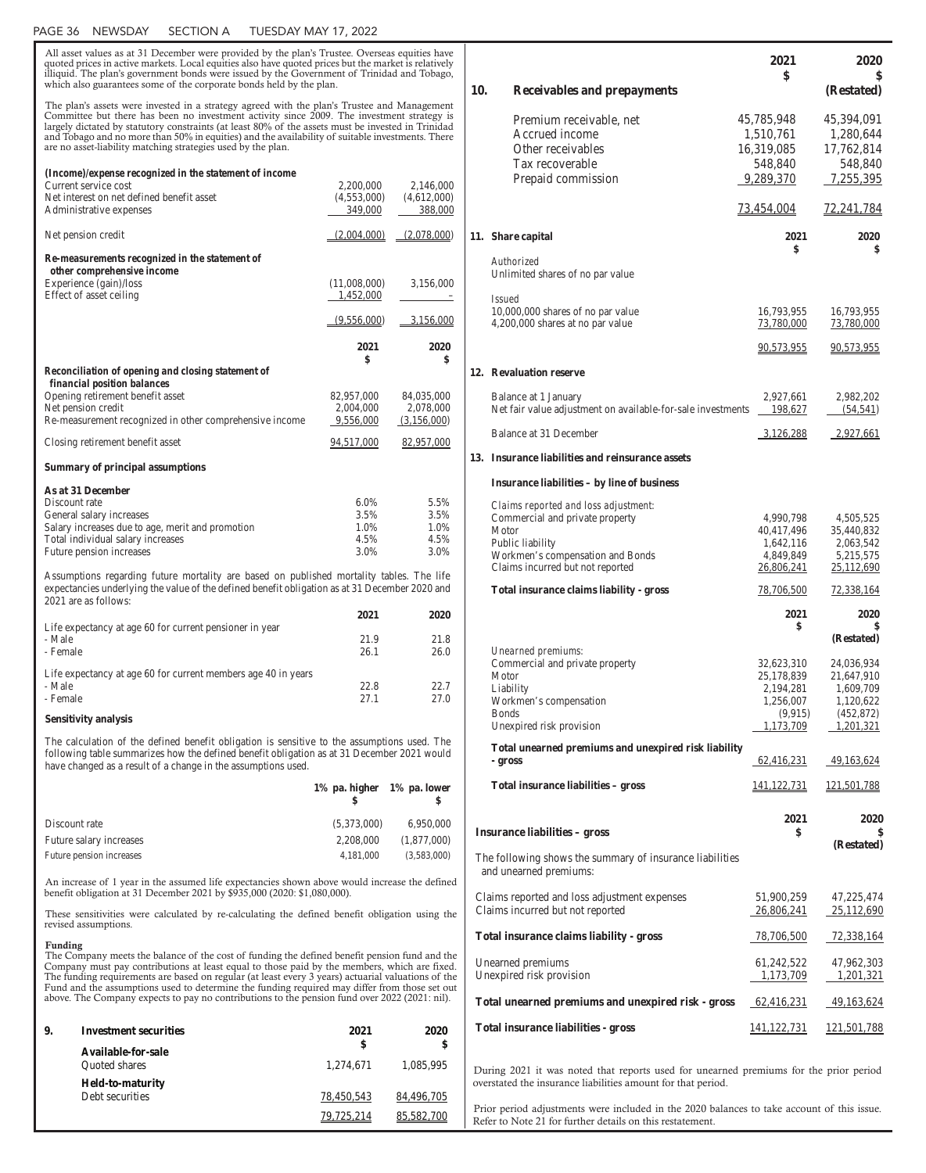### PAGE 36 NEWSDAY SECTION A TUESDAY MAY 17, 2022

All asset values as at 31 December were provided by the plan's Trustee. Overseas equities have quoted prices in active markets. Local equities also have quoted prices but the market is relatively illiquid. The plan's government bonds were issued by the Government of Trinidad and Tobago, which also guarantees some of the corporate bonds held by the plan. The plan's assets were invested in a strategy agreed with the plan's Trustee and Management Committee but there has been no investment activity since 2009. The investment strategy is largely dictated by statutory constraints (at least 80% of the assets must be invested in Trinidad and Tobago and no more than 50% in equities) and the availability of suitable investments. There are no asset-liability matching strategies used by the plan. *(Income)/expense recognized in the statement of income* Current service cost 2,200,000 2,146,000<br>Net interest on net defined benefit asset (4,553,000) (4,612,000) Net interest on net defined benefit asset (4,553,000) (4,612,000)<br>Administrative expenses 349,000 388,000 Administrative expenses Net pension credit (2,004,000) (2,078,000) *Re-measurements recognized in the statement of other comprehensive income* Experience (gain)/loss (11,008,000) 3,156,000 Effect of asset ceiling 1,452,000  $(9,556,000)$   $3,156,000$ **2021 2020 \$ \$** *Reconciliation of opening and closing statement of financial position balances*  Opening retirement benefit asset 82,957,000 84,035,000<br>Net pension credit 2.004.000 2.078.000 Net pension credit Re-measurement recognized in other comprehensive income 9,556,000 (3,156,000) Closing retirement benefit asset 94,517,000 82,957,000 **Summary of principal assumptions As at 31 December**  Discount rate 6.0% 5.5% General salary increases Salary increases due to age, merit and promotion 1.0% 1.0% Total individual salary increases Future pension increases 3.0% 3.0% 3.0% Assumptions regarding future mortality are based on published mortality tables. The life expectancies underlying the value of the defined benefit obligation as at 31 December 2020 and 2021 are as follows: **2021 2020**  Life expectancy at age 60 for current pensioner in year - Male 21.9 21.8 - Female 26.1 26.0 Life expectancy at age 60 for current members age 40 in years - Male 22.8 22.7 - Female 27.0 27.0 **Sensitivity analysis**  The calculation of the defined benefit obligation is sensitive to the assumptions used. The following table summarizes how the defined benefit obligation as at 31 December 2021 would have changed as a result of a change in the assumptions used. **1% pa. higher 1% pa. lower \$ \$** 

| 6,950,000   |
|-------------|
| (1,877,000) |
| (3,583,000) |
|             |

An increase of 1 year in the assumed life expectancies shown above would increase the defined benefit obligation at 31 December 2021 by \$935,000 (2020: \$1,080,000).

These sensitivities were calculated by re-calculating the defined benefit obligation using the revised assumptions.

### Funding

The Company meets the balance of the cost of funding the defined benefit pension fund and the Company must pay contributions at least equal to those paid by the members, which are fixed. The funding requirements are based on regular (at least every 3 years) actuarial valuations of the Fund and the assumptions used to determine the funding required may differ from those set out above. The Company expects to pay no contributions to the pension fund over 2022 (2021: nil).

| 9. | <b>Investment securities</b> | 2021       | 2020       |  |  |
|----|------------------------------|------------|------------|--|--|
|    | Available-for-sale           | \$         | \$         |  |  |
|    | <b>Ouoted</b> shares         | 1,274,671  | 1,085,995  |  |  |
|    | <b>Held-to-maturity</b>      |            |            |  |  |
|    | Debt securities              | 78,450,543 | 84,496,705 |  |  |
|    |                              | 79,725,214 | 85,582,700 |  |  |

|     |                                                                                                                                                       | 2021<br>\$                                                                 | <b>2020</b>                                                                   |
|-----|-------------------------------------------------------------------------------------------------------------------------------------------------------|----------------------------------------------------------------------------|-------------------------------------------------------------------------------|
| 10. | <b>Receivables and prepayments</b>                                                                                                                    |                                                                            | \$<br>(Restated)                                                              |
|     | Premium receivable, net<br>Accrued income<br>Other receivables<br>Tax recoverable<br>Prepaid commission                                               | 45,785,948<br>1,510,761<br>16,319,085<br>548,840<br>9,289,370              | 45,394,091<br>1,280,644<br>17,762,814<br>548,840<br>7,255,395                 |
|     |                                                                                                                                                       | 73,454,004                                                                 | <u>72,241,784</u>                                                             |
|     | 11. Share capital                                                                                                                                     | 2021<br>\$                                                                 | 2020<br>\$                                                                    |
|     | Authorized<br>Unlimited shares of no par value                                                                                                        |                                                                            |                                                                               |
|     | <i>Issued</i><br>10,000,000 shares of no par value<br>4,200,000 shares at no par value                                                                | 16,793,955<br>73,780,000                                                   | 16,793,955<br>73,780,000                                                      |
|     |                                                                                                                                                       | 90,573,955                                                                 | <u>90,573,955</u>                                                             |
|     | 12. Revaluation reserve                                                                                                                               |                                                                            |                                                                               |
|     | Balance at 1 January<br>Net fair value adjustment on available-for-sale investments                                                                   | 2,927,661<br>198,627                                                       | 2,982,202<br>(54, 541)                                                        |
|     | Balance at 31 December                                                                                                                                | 3,126,288                                                                  | 2,927,661                                                                     |
|     | 13. Insurance liabilities and reinsurance assets                                                                                                      |                                                                            |                                                                               |
|     | Insurance liabilities – by line of business                                                                                                           |                                                                            |                                                                               |
|     | Claims reported and loss adjustment:<br>Commercial and private property                                                                               | 4,990,798                                                                  | 4,505,525                                                                     |
|     | Motor<br>Public liability<br>Workmen's compensation and Bonds<br>Claims incurred but not reported                                                     | 40,417,496<br>1,642,116<br>4,849,849<br>26,806,241                         | 35,440,832<br>2,063,542<br>5,215,575<br>25,112,690                            |
|     | <b>Total insurance claims liability - gross</b>                                                                                                       | 78,706,500                                                                 | 72,338,164                                                                    |
|     |                                                                                                                                                       | 2021<br>\$                                                                 | 2020<br>\$<br>(Restated)                                                      |
|     | Unearned premiums:<br>Commercial and private property<br>Motor<br>Liability<br>Workmen's compensation<br><b>Bonds</b><br>Unexpired risk provision     | 32,623,310<br>25,178,839<br>2,194,281<br>1,256,007<br>(9,915)<br>1,173,709 | 24,036,934<br>21,647,910<br>1,609,709<br>1,120,622<br>(452, 872)<br>1,201,321 |
|     | Total unearned premiums and unexpired risk liability                                                                                                  |                                                                            |                                                                               |
|     | - gross                                                                                                                                               | 62,416,231                                                                 | 49,163,624                                                                    |
|     | Total insurance liabilities - gross                                                                                                                   | 141, 122, 731                                                              | 121,501,788                                                                   |
|     | <b>Insurance liabilities – gross</b>                                                                                                                  | 2021<br>\$                                                                 | <b>2020</b>                                                                   |
|     | The following shows the summary of insurance liabilities<br>and unearned premiums:                                                                    |                                                                            | (Restated)                                                                    |
|     | Claims reported and loss adjustment expenses<br>Claims incurred but not reported                                                                      | 51,900,259<br>26,806,241                                                   | 47,225,474<br>25,112,690                                                      |
|     | <b>Total insurance claims liability - gross</b>                                                                                                       | <u>78,706,500</u>                                                          | <u>72,338,164</u>                                                             |
|     | Unearned premiums<br>Unexpired risk provision                                                                                                         | 61,242,522<br>1,173,709                                                    | 47,962,303<br>1,201,321                                                       |
|     | Total unearned premiums and unexpired risk - gross                                                                                                    | 62,416,231                                                                 | 49,163,624                                                                    |
|     | <b>Total insurance liabilities - gross</b>                                                                                                            | 141, 122, 731                                                              | 121,501,788                                                                   |
|     | During 2021 it was noted that reports used for unearned premiums for the prior period<br>overstated the insurance liabilities amount for that period. |                                                                            |                                                                               |

Prior period adjustments were included in the 2020 balances to take account of this issue. Refer to Note 21 for further details on this restatement.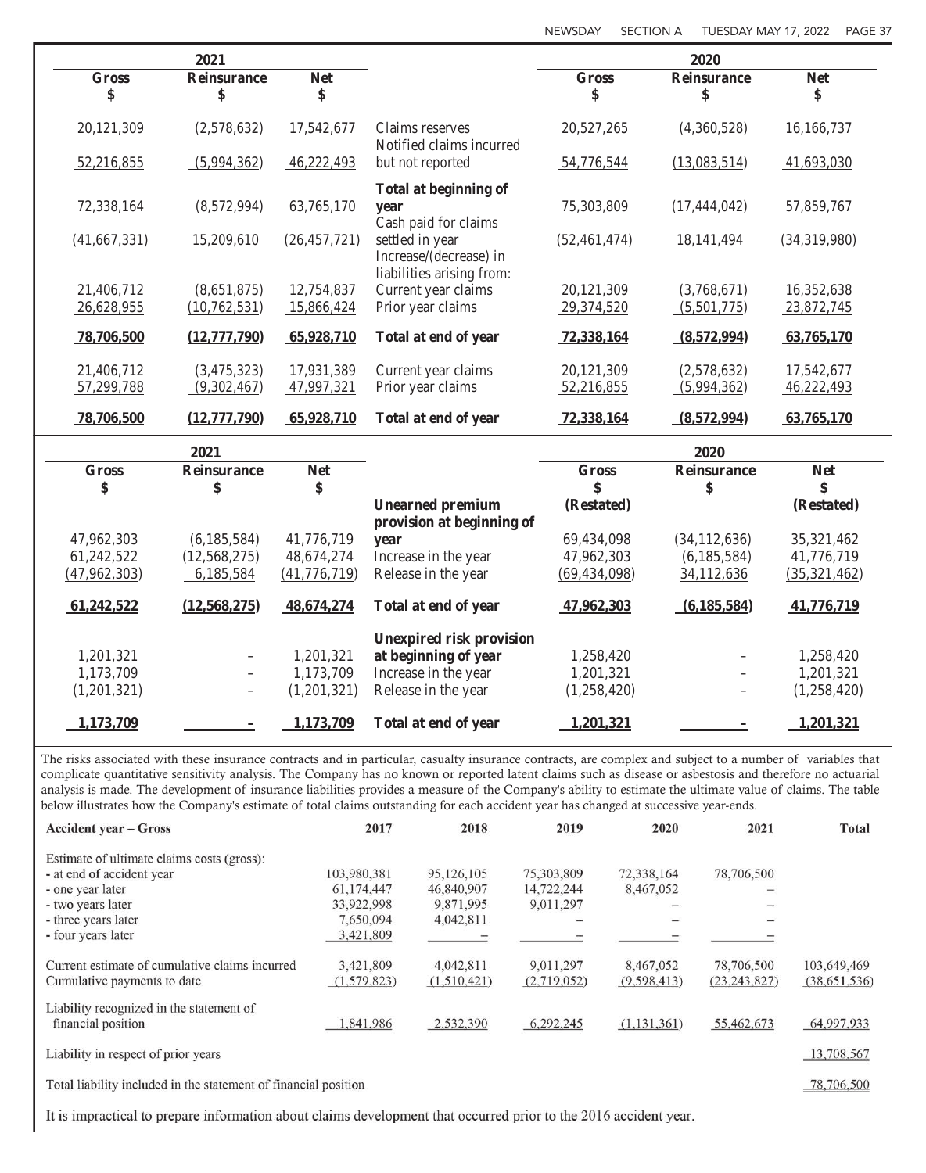|                    | 2021                     |                  |                                                                        |                    | 2020                     |                  |
|--------------------|--------------------------|------------------|------------------------------------------------------------------------|--------------------|--------------------------|------------------|
| <b>Gross</b><br>\$ | <b>Reinsurance</b><br>\$ | <b>Net</b><br>\$ |                                                                        | <b>Gross</b><br>\$ | <b>Reinsurance</b><br>\$ | <b>Net</b><br>\$ |
| 20,121,309         | (2,578,632)              | 17,542,677       | Claims reserves<br>Notified claims incurred                            | 20,527,265         | (4,360,528)              | 16,166,737       |
| 52,216,855         | (5,994,362)              | 46,222,493       | but not reported                                                       | 54,776,544         | (13,083,514)             | 41,693,030       |
| 72,338,164         | (8,572,994)              | 63,765,170       | <b>Total at beginning of</b><br>year<br>Cash paid for claims           | 75,303,809         | (17, 444, 042)           | 57,859,767       |
| (41, 667, 331)     | 15,209,610               | (26, 457, 721)   | settled in year<br>Increase/(decrease) in<br>liabilities arising from: | (52, 461, 474)     | 18, 141, 494             | (34,319,980)     |
| 21,406,712         | (8,651,875)              | 12,754,837       | Current year claims                                                    | 20,121,309         | (3,768,671)              | 16,352,638       |
| 26,628,955         | (10, 762, 531)           | 15,866,424       | Prior year claims                                                      | 29,374,520         | (5,501,775)              | 23,872,745       |
| 78,706,500         | (12,777,790)             | 65,928,710       | Total at end of year                                                   | 72,338,164         | (8,572,994)              | 63,765,170       |
| 21,406,712         | (3,475,323)              | 17,931,389       | Current year claims                                                    | 20,121,309         | (2,578,632)              | 17,542,677       |
| 57,299,788         | (9,302,467)              | 47,997,321       | Prior year claims                                                      | 52,216,855         | (5,994,362)              | 46,222,493       |
| 78,706,500         | (12,777,790)             | 65,928,710       | Total at end of year                                                   | 72,338,164         | (8,572,994)              | 63,765,170       |
|                    | 2021                     |                  |                                                                        |                    | 2020                     |                  |
| <b>Gross</b>       | <b>Reinsurance</b>       | <b>Net</b>       |                                                                        | <b>Gross</b>       | <b>Reinsurance</b>       | <b>Net</b>       |
| \$                 | \$                       | \$               | <b>Unearned premium</b>                                                | \$<br>(Restated)   | \$                       | \$<br>(Restated) |
|                    |                          |                  | provision at beginning of                                              |                    |                          |                  |
| 47,962,303         | (6,185,584)              | 41,776,719       | year                                                                   | 69,434,098         | (34, 112, 636)           | 35,321,462       |
| 61,242,522         | (12, 568, 275)           | 48,674,274       | Increase in the year                                                   | 47,962,303         | (6, 185, 584)            | 41,776,719       |
| (47, 962, 303)     | 6,185,584                | (41, 776, 719)   | Release in the year                                                    | (69, 434, 098)     | 34,112,636               | (35,321,462)     |
| 61,242,522         | (12, 568, 275)           | 48,674,274       | Total at end of year                                                   | 47,962,303         | (6, 185, 584)            | 41,776,719       |
|                    |                          |                  | <b>Unexpired risk provision</b>                                        |                    |                          |                  |
| 1,201,321          |                          | 1,201,321        | at beginning of year                                                   | 1,258,420          |                          | 1,258,420        |
| 1,173,709          |                          | 1,173,709        | Increase in the year                                                   | 1,201,321          |                          | 1,201,321        |
| (1,201,321)        |                          | (1,201,321)      | Release in the year                                                    | (1,258,420)        |                          | (1,258,420)      |
| 1,173,709          |                          | 1,173,709        | Total at end of year                                                   | 1,201,321          |                          | 1,201,321        |

The risks associated with these insurance contracts and in particular, casualty insurance contracts, are complex and subject to a number of variables that complicate quantitative sensitivity analysis. The Company has no known or reported latent claims such as disease or asbestosis and therefore no actuarial analysis is made. The development of insurance liabilities provides a measure of the Company's ability to estimate the ultimate value of claims. The table below illustrates how the Company's estimate of total claims outstanding for each accident year has changed at successive year-ends.

| <b>Accident year – Gross</b>                                                                                     | 2017                     | 2018                     | 2019                     | 2020                     | 2021                         | <b>Total</b>                  |  |  |
|------------------------------------------------------------------------------------------------------------------|--------------------------|--------------------------|--------------------------|--------------------------|------------------------------|-------------------------------|--|--|
| Estimate of ultimate claims costs (gross):                                                                       |                          |                          |                          |                          |                              |                               |  |  |
| - at end of accident year                                                                                        | 103,980,381              | 95,126,105               | 75,303,809               | 72,338,164               | 78,706,500                   |                               |  |  |
| - one year later                                                                                                 | 61,174,447               | 46,840,907               | 14,722,244               | 8,467,052                |                              |                               |  |  |
| - two years later                                                                                                | 33,922,998               | 9,871,995                | 9,011,297                |                          |                              |                               |  |  |
| - three years later                                                                                              | 7,650,094                | 4,042,811                |                          |                          |                              |                               |  |  |
| - four years later                                                                                               | 3,421,809                |                          |                          |                          |                              |                               |  |  |
| Current estimate of cumulative claims incurred<br>Cumulative payments to date                                    | 3,421,809<br>(1,579,823) | 4,042,811<br>(1,510,421) | 9,011,297<br>(2,719,052) | 8,467,052<br>(9,598,413) | 78,706,500<br>(23, 243, 827) | 103,649,469<br>(38, 651, 536) |  |  |
|                                                                                                                  |                          |                          |                          |                          |                              |                               |  |  |
| Liability recognized in the statement of<br>financial position                                                   | ,841,986                 | 2,532,390                | 6,292,245                | (1,131,361)              | 55,462,673                   | 64,997,933                    |  |  |
| Liability in respect of prior years                                                                              |                          |                          |                          |                          |                              |                               |  |  |
| Total liability included in the statement of financial position<br>78,706,500                                    |                          |                          |                          |                          |                              |                               |  |  |
| It is impractical to prepare information about claims development that occurred prior to the 2016 accident year. |                          |                          |                          |                          |                              |                               |  |  |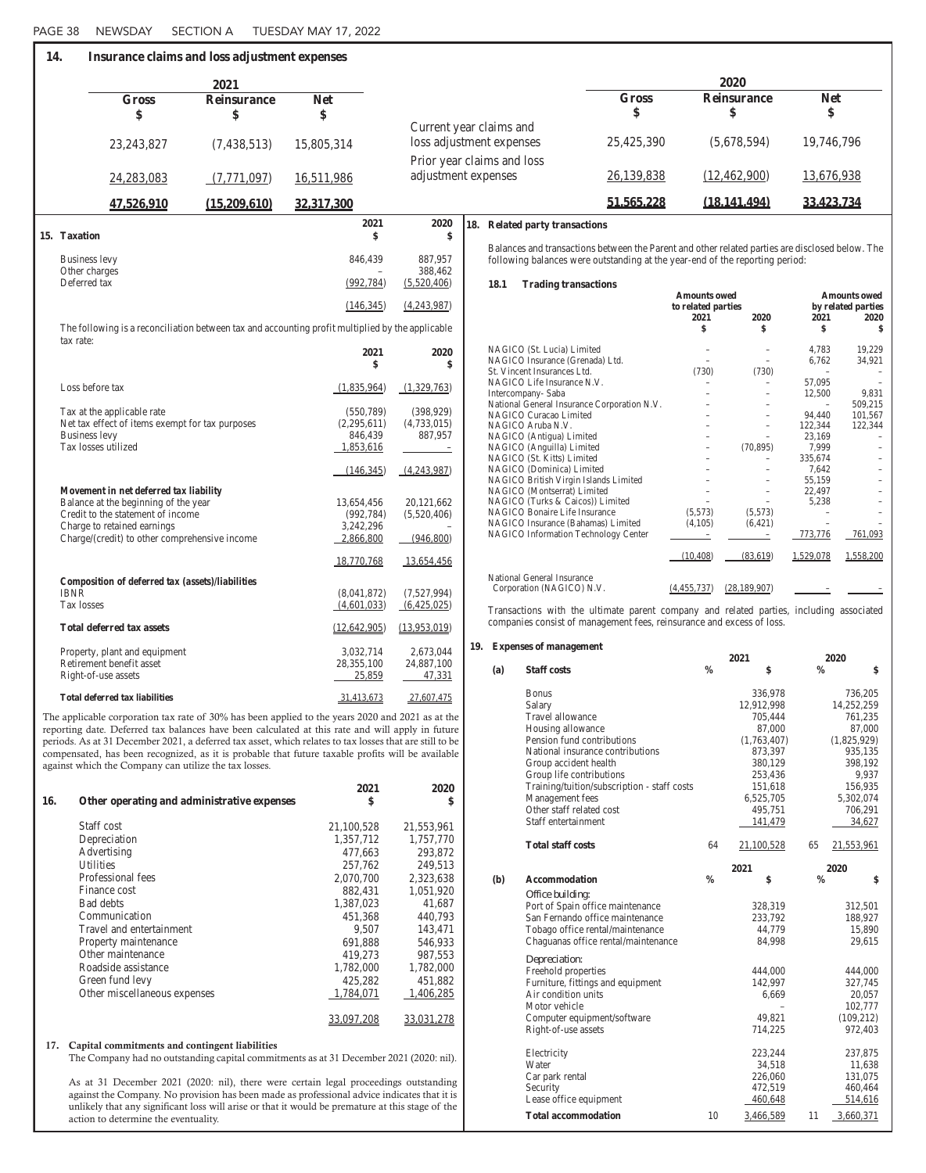| 14. |                                                                                                  | Insurance claims and loss adjustment expenses |                      |                          |                                                                                                                                                                                 |              |                            |                          |                          |                            |
|-----|--------------------------------------------------------------------------------------------------|-----------------------------------------------|----------------------|--------------------------|---------------------------------------------------------------------------------------------------------------------------------------------------------------------------------|--------------|----------------------------|--------------------------|--------------------------|----------------------------|
|     |                                                                                                  | 2021                                          |                      |                          |                                                                                                                                                                                 |              |                            | 2020                     |                          |                            |
|     | <b>Gross</b>                                                                                     | <b>Reinsurance</b>                            | <b>Net</b>           |                          |                                                                                                                                                                                 | <b>Gross</b> |                            | <b>Reinsurance</b>       | <b>Net</b>               |                            |
|     | \$                                                                                               | \$                                            | \$                   |                          |                                                                                                                                                                                 | \$           |                            | \$                       | \$                       |                            |
|     |                                                                                                  |                                               |                      |                          | Current year claims and                                                                                                                                                         |              |                            |                          |                          |                            |
|     | 23, 243, 827                                                                                     | (7,438,513)                                   | 15,805,314           |                          | loss adjustment expenses                                                                                                                                                        | 25,425,390   |                            | (5,678,594)              | 19,746,796               |                            |
|     |                                                                                                  |                                               |                      |                          | Prior year claims and loss                                                                                                                                                      |              |                            |                          |                          |                            |
|     | 24,283,083                                                                                       | (7,771,097)                                   | 16,511,986           | adjustment expenses      |                                                                                                                                                                                 | 26,139,838   |                            | (12, 462, 900)           | 13,676,938               |                            |
|     | 47,526,910                                                                                       | (15,209,610)                                  | 32,317,300           |                          |                                                                                                                                                                                 | 51,565,228   |                            | (18, 141, 494)           | 33,423,734               |                            |
|     |                                                                                                  |                                               | 2021                 | 2020                     | 18. Related party transactions                                                                                                                                                  |              |                            |                          |                          |                            |
|     | 15. Taxation                                                                                     |                                               |                      | \$                       |                                                                                                                                                                                 |              |                            |                          |                          |                            |
|     | <b>Business levy</b>                                                                             |                                               | 846,439              | 887,957                  | Balances and transactions between the Parent and other related parties are disclosed below. The<br>following balances were outstanding at the year-end of the reporting period: |              |                            |                          |                          |                            |
|     | Other charges                                                                                    |                                               |                      | 388,462                  |                                                                                                                                                                                 |              |                            |                          |                          |                            |
|     | Deferred tax                                                                                     |                                               | (992, 784)           | (5,520,406)              | 18.1<br><b>Trading transactions</b>                                                                                                                                             |              |                            |                          |                          |                            |
|     |                                                                                                  |                                               |                      |                          |                                                                                                                                                                                 |              | <b>Amounts owed</b>        |                          |                          | <b>Amounts owed</b>        |
|     |                                                                                                  |                                               | (146, 345)           | (4,243,987)              |                                                                                                                                                                                 |              | to related parties<br>2021 | 2020                     | 2021                     | by related parties<br>2020 |
|     | The following is a reconciliation between tax and accounting profit multiplied by the applicable |                                               |                      |                          |                                                                                                                                                                                 |              | \$                         | \$                       | \$                       | \$                         |
|     | tax rate:                                                                                        |                                               |                      |                          |                                                                                                                                                                                 |              |                            |                          |                          |                            |
|     |                                                                                                  |                                               | 2021                 | 2020                     | NAGICO (St. Lucia) Limited<br>NAGICO Insurance (Grenada) Ltd.                                                                                                                   |              |                            |                          | 4,783<br>6,762           | 19,229<br>34,921           |
|     |                                                                                                  |                                               | \$                   |                          | St. Vincent Insurances Ltd.                                                                                                                                                     |              | (730)                      | (730)                    | $\overline{\phantom{a}}$ |                            |
|     | Loss before tax                                                                                  |                                               |                      |                          | NAGICO Life Insurance N.V.                                                                                                                                                      |              |                            | $\overline{\phantom{0}}$ | 57,095                   |                            |
|     |                                                                                                  |                                               | (1,835,964)          | (1,329,763)              | Intercompany-Saba                                                                                                                                                               |              |                            |                          | 12,500                   | 9,831                      |
|     | Tax at the applicable rate                                                                       |                                               | (550, 789)           | (398, 929)               | National General Insurance Corporation N.V.                                                                                                                                     |              |                            |                          | $\overline{\phantom{a}}$ | 509,215                    |
|     | Net tax effect of items exempt for tax purposes                                                  |                                               | (2,295,611)          | (4,733,015)              | NAGICO Curacao Limited<br>NAGICO Aruba N.V.                                                                                                                                     |              |                            | $\overline{\phantom{a}}$ | 94,440<br>122,344        | 101,567<br>122,344         |
|     | <b>Business levy</b>                                                                             |                                               | 846,439              | 887,957                  | NAGICO (Antigua) Limited                                                                                                                                                        |              |                            | $\overline{\phantom{m}}$ | 23,169                   |                            |
|     | Tax losses utilized                                                                              |                                               | 1,853,616            | $\overline{\phantom{a}}$ | NAGICO (Anguilla) Limited                                                                                                                                                       |              |                            | (70, 895)                | 7,999                    |                            |
|     |                                                                                                  |                                               |                      |                          | NAGICO (St. Kitts) Limited                                                                                                                                                      |              |                            | $\overline{\phantom{a}}$ | 335,674                  |                            |
|     |                                                                                                  |                                               | (146, 345)           | (4,243,987)              | NAGICO (Dominica) Limited                                                                                                                                                       |              |                            |                          | 7,642                    |                            |
|     | Movement in net deferred tax liability                                                           |                                               |                      |                          | NAGICO British Virgin Islands Limited                                                                                                                                           |              |                            | $\overline{\phantom{m}}$ | 55,159<br>22,497         |                            |
|     | Balance at the beginning of the year                                                             |                                               | 13,654,456           | 20,121,662               | NAGICO (Montserrat) Limited<br>NAGICO (Turks & Caicos)) Limited                                                                                                                 |              | $\overline{\phantom{a}}$   | $\overline{\phantom{m}}$ | 5,238                    |                            |
|     | Credit to the statement of income                                                                |                                               | (992, 784)           | (5,520,406)              | NAGICO Bonaire Life Insurance                                                                                                                                                   |              | (5,573)                    | (5,573)                  |                          |                            |
|     | Charge to retained earnings                                                                      |                                               | 3,242,296            |                          | NAGICO Insurance (Bahamas) Limited                                                                                                                                              |              | (4,105)                    | (6,421)                  |                          |                            |
|     | Charge/(credit) to other comprehensive income                                                    |                                               | 2,866,800            | (946,800)                | NAGICO Information Technology Center                                                                                                                                            |              |                            | $\overline{\phantom{a}}$ | 773,776                  | 761,093                    |
|     |                                                                                                  |                                               | 18,770,768           | 13,654,456               |                                                                                                                                                                                 |              | (10, 408)                  | (83,619)                 | 1,529,078                | 1,558,200                  |
|     |                                                                                                  |                                               |                      |                          | National General Insurance                                                                                                                                                      |              |                            |                          |                          |                            |
|     | Composition of deferred tax (assets)/liabilities                                                 |                                               |                      |                          | Corporation (NAGICO) N.V.                                                                                                                                                       |              | (4,455,737)                | (28, 189, 907)           |                          |                            |
|     | <b>IBNR</b><br>Tax losses                                                                        |                                               | (8,041,872)          | (7,527,994)              |                                                                                                                                                                                 |              |                            |                          |                          |                            |
|     |                                                                                                  |                                               | (4,601,033)          | (6,425,025)              | Transactions with the ultimate parent company and related parties, including associated                                                                                         |              |                            |                          |                          |                            |
|     | <b>Total deferred tax assets</b>                                                                 |                                               | (12, 642, 905)       | (13,953,019)             | companies consist of management fees, reinsurance and excess of loss.                                                                                                           |              |                            |                          |                          |                            |
|     |                                                                                                  |                                               |                      |                          | 19. Expenses of management                                                                                                                                                      |              |                            |                          |                          |                            |
|     | Property, plant and equipment                                                                    |                                               | 3,032,714            | 2,673,044                |                                                                                                                                                                                 |              |                            | 2021                     | 2020                     |                            |
|     | Retirement benefit asset<br>Right-of-use assets                                                  |                                               | 28,355,100<br>25,859 | 24,887,100<br>47,331     | <b>Staff costs</b><br>(a)                                                                                                                                                       |              | $\frac{0}{0}$              | \$                       | $\frac{0}{0}$            | \$                         |
|     |                                                                                                  |                                               |                      |                          |                                                                                                                                                                                 |              |                            |                          |                          |                            |
|     | <b>Total deferred tax liabilities</b>                                                            |                                               | 31,413,673           | 27,607,475               | <b>Bonus</b><br>Salary                                                                                                                                                          |              |                            | 336,978<br>12.912.998    |                          | 736,205<br>14.252.259      |
|     |                                                                                                  |                                               |                      |                          |                                                                                                                                                                                 |              |                            |                          |                          |                            |

The applicable corporation tax rate of 30% has been applied to the years 2020 and 2021 as at the reporting date. Deferred tax balances have been calculated at this rate and will apply in future periods. As at 31 December 2021, a deferred tax asset, which relates to tax losses that are still to be compensated, has been recognized, as it is probable that future taxable profits will be available against which the Company can utilize the tax losses.

| 16. | Other operating and administrative expenses | 2021<br>\$ | 2020<br>\$ |
|-----|---------------------------------------------|------------|------------|
|     | Staff cost                                  | 21,100,528 | 21,553,961 |
|     | Depreciation                                | 1,357,712  | 1,757,770  |
|     | Advertising                                 | 477,663    | 293,872    |
|     | <b>Utilities</b>                            | 257,762    | 249,513    |
|     | Professional fees                           | 2,070,700  | 2,323,638  |
|     | Finance cost                                | 882,431    | 1,051,920  |
|     | <b>Bad debts</b>                            | 1,387,023  | 41,687     |
|     | Communication                               | 451,368    | 440,793    |
|     | Travel and entertainment                    | 9,507      | 143,471    |
|     | Property maintenance                        | 691,888    | 546,933    |
|     | Other maintenance                           | 419,273    | 987,553    |
|     | Roadside assistance                         | 1,782,000  | 1,782,000  |
|     | Green fund levy                             | 425,282    | 451,882    |
|     | Other miscellaneous expenses                | 1,784,071  | 1,406,285  |
|     |                                             | 33,097,208 | 33,031,278 |

## 17. Capital commitments and contingent liabilities

The Company had no outstanding capital commitments as at 31 December 2021 (2020: nil).

As at 31 December 2021 (2020: nil), there were certain legal proceedings outstanding against the Company. No provision has been made as professional advice indicates that it is unlikely that any significant loss will arise or that it would be premature at this stage of the action to determine the eventuality.

| (a) | <b>Staff costs</b>                          | $\frac{0}{0}$ | \$          | $\frac{0}{0}$ | \$          |
|-----|---------------------------------------------|---------------|-------------|---------------|-------------|
|     | <b>Bonus</b>                                |               | 336,978     |               | 736,205     |
|     | Salary                                      |               | 12,912,998  |               | 14,252,259  |
|     | Travel allowance                            |               | 705,444     |               | 761,235     |
|     | Housing allowance                           |               | 87,000      |               | 87,000      |
|     | Pension fund contributions                  |               | (1,763,407) |               | (1,825,929) |
|     | National insurance contributions            |               | 873,397     |               | 935,135     |
|     | Group accident health                       |               | 380,129     |               | 398,192     |
|     | Group life contributions                    |               | 253,436     |               | 9,937       |
|     | Training/tuition/subscription - staff costs |               | 151,618     |               | 156,935     |
|     | Management fees                             |               | 6,525,705   |               | 5,302,074   |
|     | Other staff related cost                    |               | 495,751     |               | 706,291     |
|     | Staff entertainment                         |               | 141,479     |               | 34,627      |
|     | <b>Total staff costs</b>                    | 64            | 21,100,528  | 65            | 21,553,961  |
|     |                                             |               | 2021        | 2020          |             |
| (b) | <b>Accommodation</b>                        | $\frac{0}{0}$ | \$          | $\frac{0}{0}$ | \$          |
|     | Office building:                            |               |             |               |             |
|     | Port of Spain office maintenance            |               | 328,319     |               | 312,501     |
|     | San Fernando office maintenance             |               | 233,792     |               | 188,927     |
|     | Tobago office rental/maintenance            |               | 44,779      |               | 15,890      |
|     | Chaguanas office rental/maintenance         |               | 84,998      |               | 29,615      |
|     | Depreciation:                               |               |             |               |             |
|     | Freehold properties                         |               | 444,000     |               | 444,000     |
|     | Furniture, fittings and equipment           |               | 142,997     |               | 327,745     |
|     | Air condition units                         |               | 6,669       |               | 20,057      |
|     | Motor vehicle                               |               |             |               | 102,777     |
|     | Computer equipment/software                 |               | 49,821      |               | (109, 212)  |
|     | Right-of-use assets                         |               | 714,225     |               | 972,403     |
|     | Electricity                                 |               | 223,244     |               | 237,875     |
|     | Water                                       |               | 34,518      |               | 11,638      |
|     | Car park rental                             |               | 226,060     |               | 131,075     |
|     | Security                                    |               | 472,519     |               | 460,464     |
|     | Lease office equipment                      |               | 460,648     |               | 514,616     |
|     | <b>Total accommodation</b>                  | 10            | 3,466,589   | 11            | 3,660,371   |